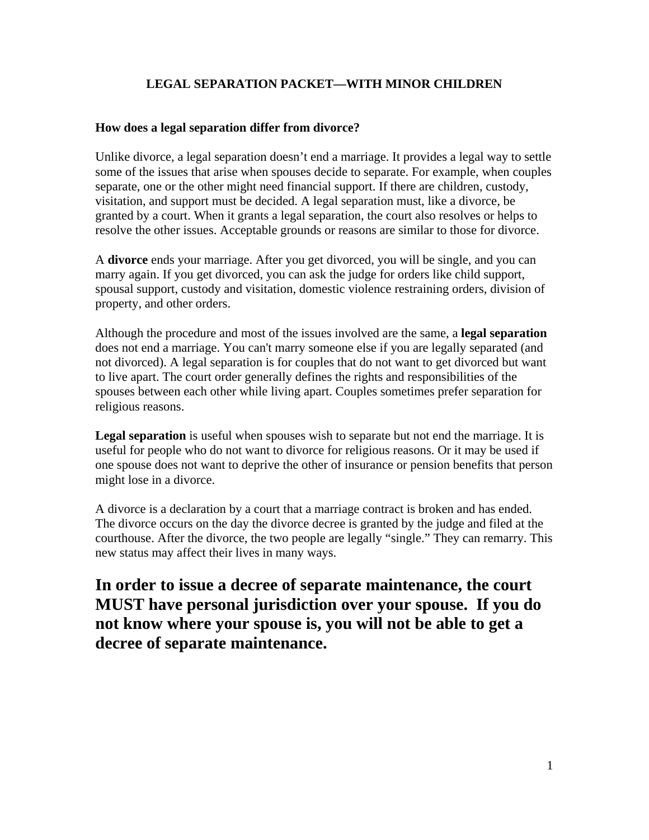# **LEGAL SEPARATION PACKET—WITH MINOR CHILDREN**

### **How does a legal separation differ from divorce?**

Unlike divorce, a legal separation doesn't end a marriage. It provides a legal way to settle some of the issues that arise when spouses decide to separate. For example, when couples separate, one or the other might need financial support. If there are children, custody, visitation, and support must be decided. A legal separation must, like a divorce, be granted by a court. When it grants a legal separation, the court also resolves or helps to resolve the other issues. Acceptable grounds or reasons are similar to those for divorce.

A **divorce** ends your marriage. After you get divorced, you will be single, and you can marry again. If you get divorced, you can ask the judge for orders like child support, spousal support, custody and visitation, domestic violence restraining orders, division of property, and other orders.

Although the procedure and most of the issues involved are the same, a **legal separation** does not end a marriage. You can't marry someone else if you are legally separated (and not divorced). A legal separation is for couples that do not want to get divorced but want to live apart. The court order generally defines the rights and responsibilities of the spouses between each other while living apart. Couples sometimes prefer separation for religious reasons.

**Legal separation** is useful when spouses wish to separate but not end the marriage. It is useful for people who do not want to divorce for religious reasons. Or it may be used if one spouse does not want to deprive the other of insurance or pension benefits that person might lose in a divorce.

A divorce is a declaration by a court that a marriage contract is broken and has ended. The divorce occurs on the day the divorce decree is granted by the judge and filed at the courthouse. After the divorce, the two people are legally "single." They can remarry. This new status may affect their lives in many ways.

**In order to issue a decree of separate maintenance, the court MUST have personal jurisdiction over your spouse. If you do not know where your spouse is, you will not be able to get a decree of separate maintenance.**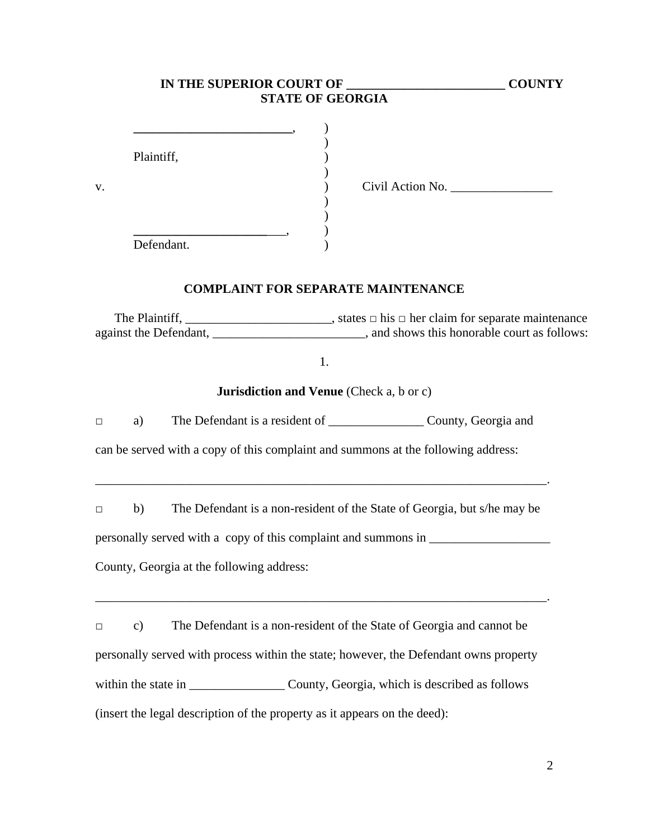| IN THE SUPERIOR COURT OF                                                                         | <b>COUNTY</b>                                                            |
|--------------------------------------------------------------------------------------------------|--------------------------------------------------------------------------|
| <b>STATE OF GEORGIA</b>                                                                          |                                                                          |
| Plaintiff,<br>V.                                                                                 | Civil Action No.                                                         |
| Defendant.                                                                                       |                                                                          |
| <b>COMPLAINT FOR SEPARATE MAINTENANCE</b>                                                        |                                                                          |
|                                                                                                  |                                                                          |
| 1.                                                                                               |                                                                          |
| <b>Jurisdiction and Venue</b> (Check a, b or c)                                                  |                                                                          |
| The Defendant is a resident of ________________________ County, Georgia and<br>a)<br>$\Box$      |                                                                          |
| can be served with a copy of this complaint and summons at the following address:                |                                                                          |
| b)<br>$\Box$                                                                                     | The Defendant is a non-resident of the State of Georgia, but s/he may be |
| personally served with a copy of this complaint and summons in __________________                |                                                                          |
| County, Georgia at the following address:                                                        |                                                                          |
|                                                                                                  |                                                                          |
|                                                                                                  |                                                                          |
| The Defendant is a non-resident of the State of Georgia and cannot be<br>$\mathbf{c})$<br>$\Box$ |                                                                          |
| personally served with process within the state; however, the Defendant owns property            |                                                                          |
|                                                                                                  |                                                                          |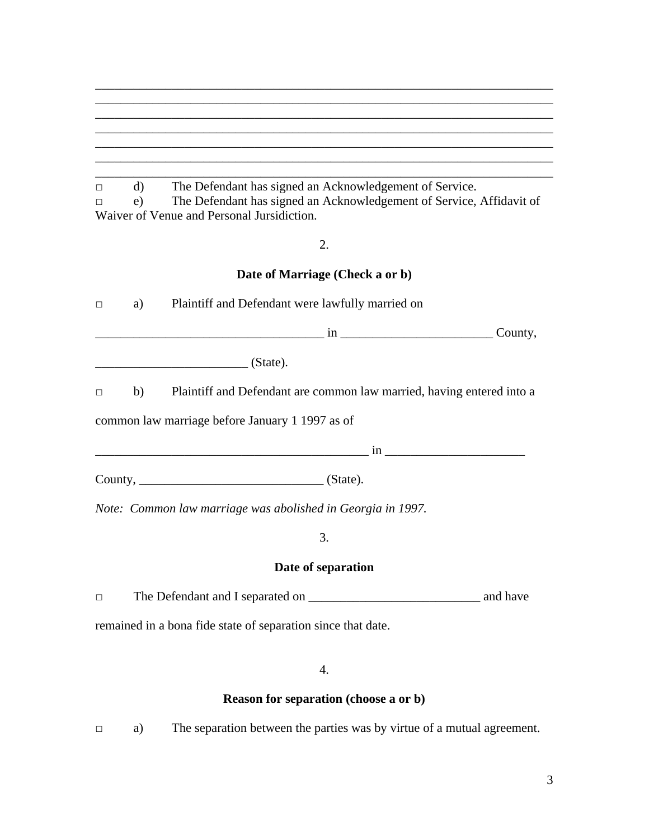| d) | The Defendant has signed an Acknowledgement of Service.              |
|----|----------------------------------------------------------------------|
| e) | The Defendant has signed an Acknowledgement of Service, Affidavit of |
|    | Waiver of Venue and Personal Jursidiction.                           |

2.

# **Date of Marriage (Check a or b)**

| $\Box$ | a) Plaintiff and Defendant were lawfully married on                           |         |  |
|--------|-------------------------------------------------------------------------------|---------|--|
|        |                                                                               | County, |  |
|        | $\frac{1}{\sqrt{1-\frac{1}{2}}\left(\frac{1}{2}-\frac{1}{2}\right)}$ (State). |         |  |
| $\Box$ | b) Plaintiff and Defendant are common law married, having entered into a      |         |  |
|        | common law marriage before January 1 1997 as of                               |         |  |
|        |                                                                               |         |  |
|        |                                                                               |         |  |
|        | Note: Common law marriage was abolished in Georgia in 1997.                   |         |  |
|        | 3.                                                                            |         |  |
|        | Date of separation                                                            |         |  |
| $\Box$ |                                                                               |         |  |

remained in a bona fide state of separation since that date.

4.

# **Reason for separation (choose a or b)**

□ a) The separation between the parties was by virtue of a mutual agreement.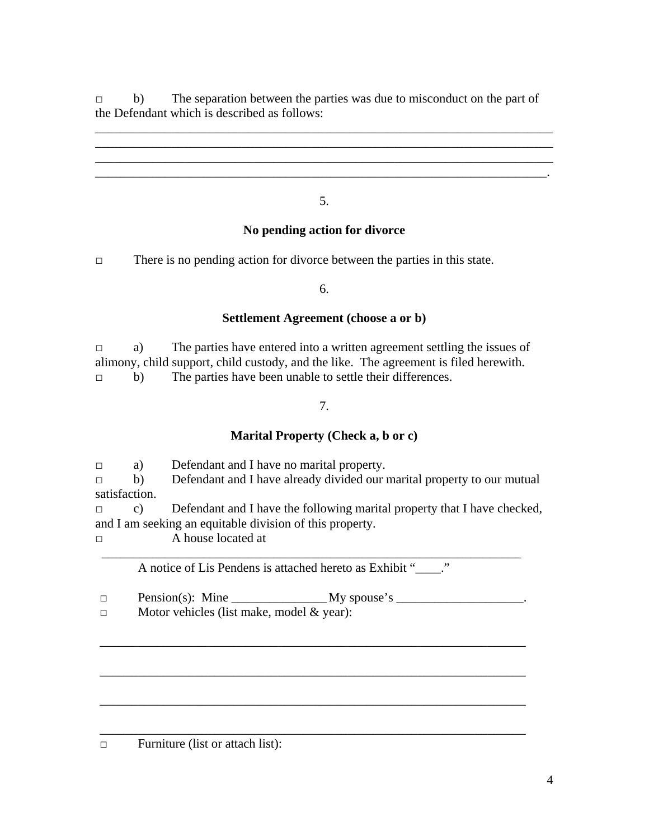□ b) The separation between the parties was due to misconduct on the part of the Defendant which is described as follows:

\_\_\_\_\_\_\_\_\_\_\_\_\_\_\_\_\_\_\_\_\_\_\_\_\_\_\_\_\_\_\_\_\_\_\_\_\_\_\_\_\_\_\_\_\_\_\_\_\_\_\_\_\_\_\_\_\_\_\_\_\_\_\_\_\_\_\_\_\_\_\_\_ \_\_\_\_\_\_\_\_\_\_\_\_\_\_\_\_\_\_\_\_\_\_\_\_\_\_\_\_\_\_\_\_\_\_\_\_\_\_\_\_\_\_\_\_\_\_\_\_\_\_\_\_\_\_\_\_\_\_\_\_\_\_\_\_\_\_\_\_\_\_\_\_ \_\_\_\_\_\_\_\_\_\_\_\_\_\_\_\_\_\_\_\_\_\_\_\_\_\_\_\_\_\_\_\_\_\_\_\_\_\_\_\_\_\_\_\_\_\_\_\_\_\_\_\_\_\_\_\_\_\_\_\_\_\_\_\_\_\_\_\_\_\_\_\_

5.

# **No pending action for divorce**

□ There is no pending action for divorce between the parties in this state.

6.

### **Settlement Agreement (choose a or b)**

 $\Box$  a) The parties have entered into a written agreement settling the issues of alimony, child support, child custody, and the like. The agreement is filed herewith. □ b) The parties have been unable to settle their differences.

7.

### **Marital Property (Check a, b or c)**

□ a) Defendant and I have no marital property.

 $\Box$  b) Defendant and I have already divided our marital property to our mutual satisfaction.

□ c) Defendant and I have the following marital property that I have checked, and I am seeking an equitable division of this property.

□ A house located at

 \_\_\_\_\_\_\_\_\_\_\_\_\_\_\_\_\_\_\_\_\_\_\_\_\_\_\_\_\_\_\_\_\_\_\_\_\_\_\_\_\_\_\_\_\_\_\_\_\_\_\_\_\_\_\_\_\_\_\_\_\_\_\_\_\_\_ A notice of Lis Pendens is attached hereto as Exhibit "\_\_\_\_."

\_\_\_\_\_\_\_\_\_\_\_\_\_\_\_\_\_\_\_\_\_\_\_\_\_\_\_\_\_\_\_\_\_\_\_\_\_\_\_\_\_\_\_\_\_\_\_\_\_\_\_\_\_\_\_\_\_\_\_\_\_\_\_\_\_\_\_

\_\_\_\_\_\_\_\_\_\_\_\_\_\_\_\_\_\_\_\_\_\_\_\_\_\_\_\_\_\_\_\_\_\_\_\_\_\_\_\_\_\_\_\_\_\_\_\_\_\_\_\_\_\_\_\_\_\_\_\_\_\_\_\_\_\_\_

\_\_\_\_\_\_\_\_\_\_\_\_\_\_\_\_\_\_\_\_\_\_\_\_\_\_\_\_\_\_\_\_\_\_\_\_\_\_\_\_\_\_\_\_\_\_\_\_\_\_\_\_\_\_\_\_\_\_\_\_\_\_\_\_\_\_\_

\_\_\_\_\_\_\_\_\_\_\_\_\_\_\_\_\_\_\_\_\_\_\_\_\_\_\_\_\_\_\_\_\_\_\_\_\_\_\_\_\_\_\_\_\_\_\_\_\_\_\_\_\_\_\_\_\_\_\_\_\_\_\_\_\_\_\_

 $\square$  Pension(s): Mine  $\qquad \qquad \text{My spouse's}$ 

 $\Box$  Motor vehicles (list make, model & year):

□ Furniture (list or attach list):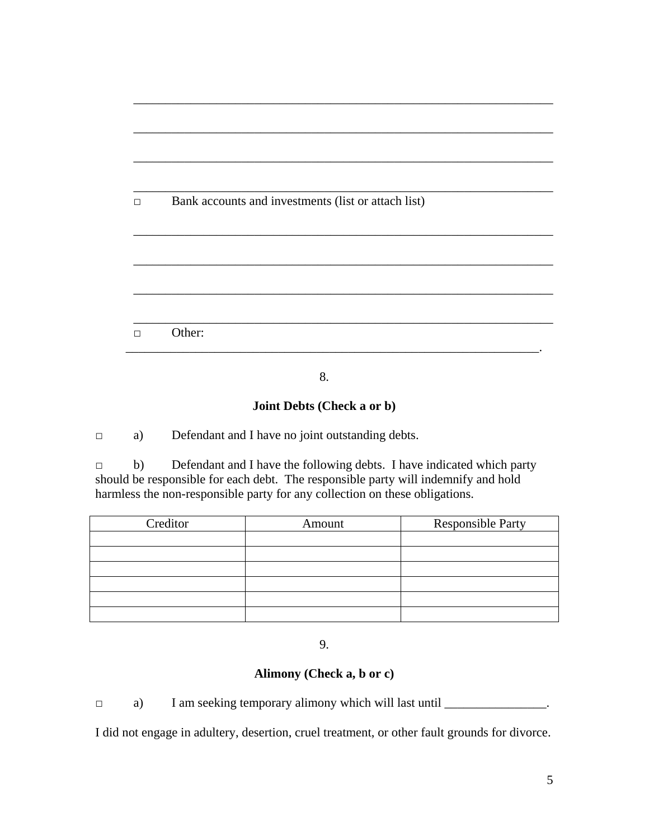| $\Box$ | Bank accounts and investments (list or attach list) |
|--------|-----------------------------------------------------|
|        |                                                     |
|        |                                                     |
|        |                                                     |
|        |                                                     |
|        |                                                     |
| П      | Other:                                              |

\_\_\_\_\_\_\_\_\_\_\_\_\_\_\_\_\_\_\_\_\_\_\_\_\_\_\_\_\_\_\_\_\_\_\_\_\_\_\_\_\_\_\_\_\_\_\_\_\_\_\_\_\_\_\_\_\_\_\_\_\_\_\_\_\_\_

8.

### **Joint Debts (Check a or b)**

□ a) Defendant and I have no joint outstanding debts.

□ b) Defendant and I have the following debts. I have indicated which party should be responsible for each debt. The responsible party will indemnify and hold harmless the non-responsible party for any collection on these obligations.

| Creditor | Amount | <b>Responsible Party</b> |
|----------|--------|--------------------------|
|          |        |                          |
|          |        |                          |
|          |        |                          |
|          |        |                          |
|          |        |                          |
|          |        |                          |

9.

### **Alimony (Check a, b or c)**

□ a) I am seeking temporary alimony which will last until \_\_\_\_\_\_\_\_\_\_\_\_\_\_\_\_\_.

I did not engage in adultery, desertion, cruel treatment, or other fault grounds for divorce.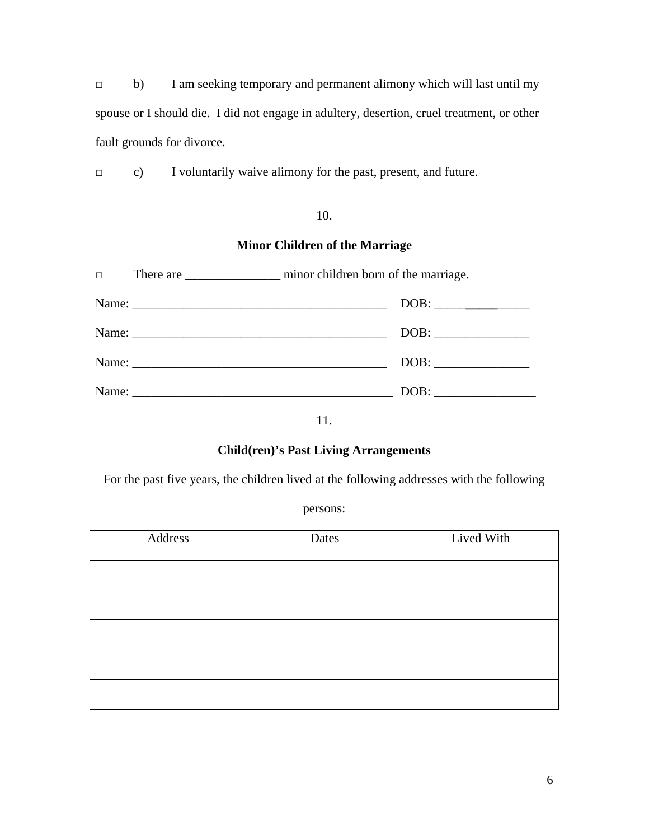□ b) I am seeking temporary and permanent alimony which will last until my spouse or I should die. I did not engage in adultery, desertion, cruel treatment, or other fault grounds for divorce.

□ c) I voluntarily waive alimony for the past, present, and future.

### 10.

### **Minor Children of the Marriage**

| $\Box$ |  |      |
|--------|--|------|
|        |  |      |
|        |  |      |
|        |  |      |
|        |  | DOB: |

11.

### **Child(ren)'s Past Living Arrangements**

For the past five years, the children lived at the following addresses with the following

persons:

| Address | Dates | Lived With |
|---------|-------|------------|
|         |       |            |
|         |       |            |
|         |       |            |
|         |       |            |
|         |       |            |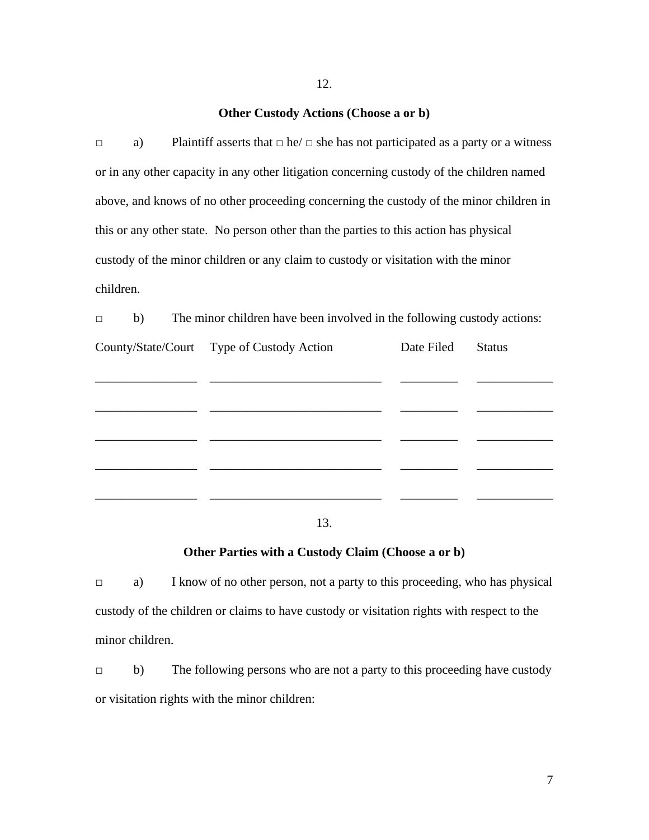#### **Other Custody Actions (Choose a or b)**

 $\Box$  a) Plaintiff asserts that  $\Box$  he/  $\Box$  she has not participated as a party or a witness or in any other capacity in any other litigation concerning custody of the children named above, and knows of no other proceeding concerning the custody of the minor children in this or any other state. No person other than the parties to this action has physical custody of the minor children or any claim to custody or visitation with the minor children.

 $\Box$  b) The minor children have been involved in the following custody actions:

| County/State/Court Type of Custody Action | Date Filed | <b>Status</b> |
|-------------------------------------------|------------|---------------|
|                                           |            |               |
|                                           |            |               |
|                                           |            |               |
|                                           |            |               |
|                                           |            |               |
|                                           |            |               |

13.

#### **Other Parties with a Custody Claim (Choose a or b)**

□ a) I know of no other person, not a party to this proceeding, who has physical custody of the children or claims to have custody or visitation rights with respect to the minor children.

□ b) The following persons who are not a party to this proceeding have custody or visitation rights with the minor children: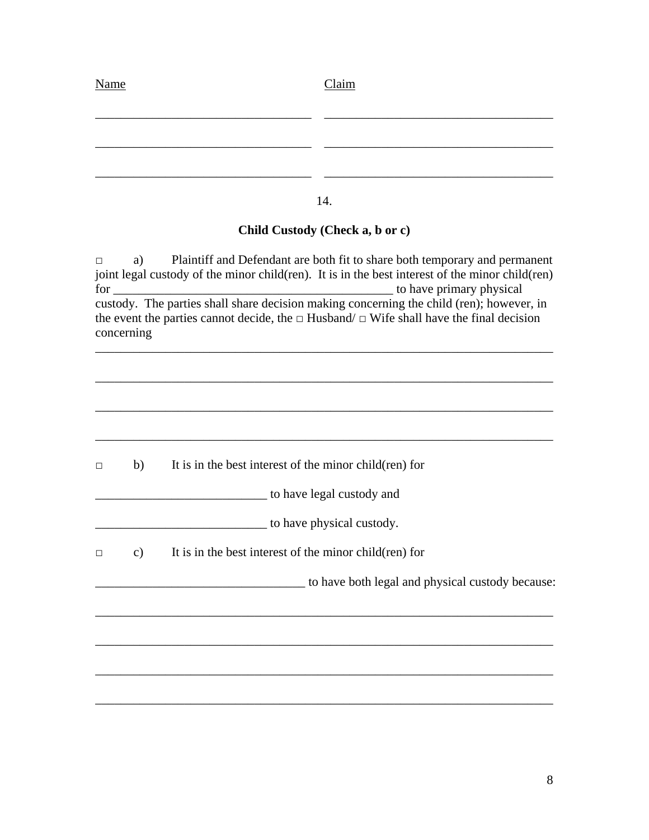| <b>Name</b> | Claim |
|-------------|-------|
|             |       |
|             |       |
|             |       |
|             |       |

14.

# **Child Custody (Check a, b or c)**

□ a) Plaintiff and Defendant are both fit to share both temporary and permanent joint legal custody of the minor child(ren). It is in the best interest of the minor child(ren) for \_\_\_\_\_\_\_\_\_\_\_\_\_\_\_\_\_\_\_\_\_\_\_\_\_\_\_\_\_\_\_\_\_\_\_\_\_\_\_\_\_\_\_\_ to have primary physical custody. The parties shall share decision making concerning the child (ren); however, in the event the parties cannot decide, the  $\Box$  Husband/  $\Box$  Wife shall have the final decision concerning

\_\_\_\_\_\_\_\_\_\_\_\_\_\_\_\_\_\_\_\_\_\_\_\_\_\_\_\_\_\_\_\_\_\_\_\_\_\_\_\_\_\_\_\_\_\_\_\_\_\_\_\_\_\_\_\_\_\_\_\_\_\_\_\_\_\_\_\_\_\_\_\_

| $\Box$ | b)            | It is in the best interest of the minor child (ren) for |
|--------|---------------|---------------------------------------------------------|
|        |               | to have legal custody and                               |
|        |               | to have physical custody.                               |
| $\Box$ | $\mathbf{c})$ | It is in the best interest of the minor child (ren) for |
|        |               | to have both legal and physical custody because:        |
|        |               |                                                         |
|        |               |                                                         |
|        |               |                                                         |
|        |               |                                                         |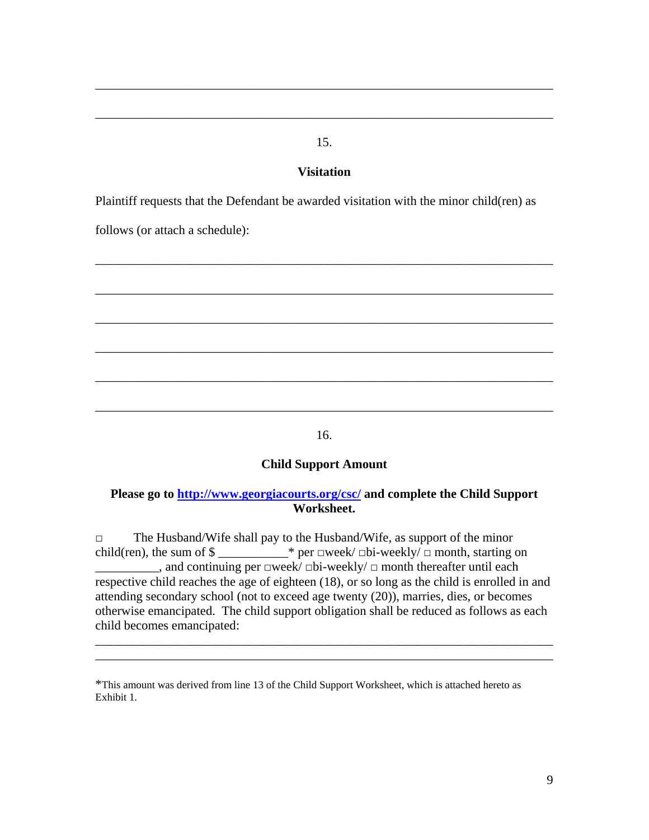### 15.

\_\_\_\_\_\_\_\_\_\_\_\_\_\_\_\_\_\_\_\_\_\_\_\_\_\_\_\_\_\_\_\_\_\_\_\_\_\_\_\_\_\_\_\_\_\_\_\_\_\_\_\_\_\_\_\_\_\_\_\_\_\_\_\_\_\_\_\_\_\_\_\_

\_\_\_\_\_\_\_\_\_\_\_\_\_\_\_\_\_\_\_\_\_\_\_\_\_\_\_\_\_\_\_\_\_\_\_\_\_\_\_\_\_\_\_\_\_\_\_\_\_\_\_\_\_\_\_\_\_\_\_\_\_\_\_\_\_\_\_\_\_\_\_\_

#### **Visitation**

Plaintiff requests that the Defendant be awarded visitation with the minor child(ren) as

follows (or attach a schedule):



16.

### **Child Support Amount**

### **Please go to http://www.georgiacourts.org/csc/ and complete the Child Support Worksheet.**

□ The Husband/Wife shall pay to the Husband/Wife, as support of the minor child(ren), the sum of  $\gamma$  \_\_\_\_\_\_\_\_\_\_\* per  $\Box$ week/ $\Box$ bi-weekly/ $\Box$  month, starting on \_\_\_\_\_\_\_\_\_\_, and continuing per □week/ □bi-weekly/ □ month thereafter until each respective child reaches the age of eighteen (18), or so long as the child is enrolled in and attending secondary school (not to exceed age twenty (20)), marries, dies, or becomes otherwise emancipated. The child support obligation shall be reduced as follows as each child becomes emancipated:

\_\_\_\_\_\_\_\_\_\_\_\_\_\_\_\_\_\_\_\_\_\_\_\_\_\_\_\_\_\_\_\_\_\_\_\_\_\_\_\_\_\_\_\_\_\_\_\_\_\_\_\_\_\_\_\_\_\_\_\_\_\_\_\_\_\_\_\_\_\_\_\_ \_\_\_\_\_\_\_\_\_\_\_\_\_\_\_\_\_\_\_\_\_\_\_\_\_\_\_\_\_\_\_\_\_\_\_\_\_\_\_\_\_\_\_\_\_\_\_\_\_\_\_\_\_\_\_\_\_\_\_\_\_\_\_\_\_\_\_\_\_\_\_\_

<sup>\*</sup>This amount was derived from line 13 of the Child Support Worksheet, which is attached hereto as Exhibit 1.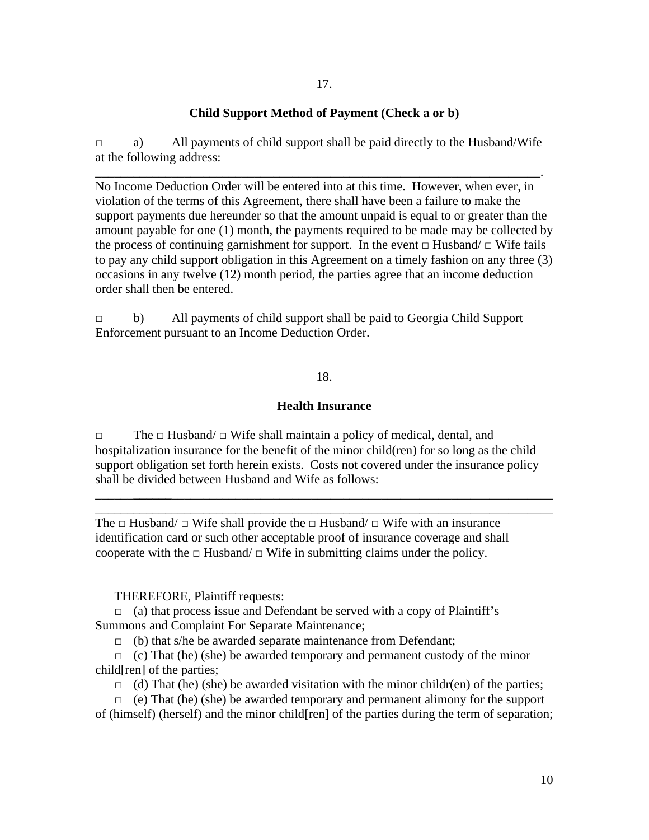#### **Child Support Method of Payment (Check a or b)**

 $\Box$  a) All payments of child support shall be paid directly to the Husband/Wife at the following address:

\_\_\_\_\_\_\_\_\_\_\_\_\_\_\_\_\_\_\_\_\_\_\_\_\_\_\_\_\_\_\_\_\_\_\_\_\_\_\_\_\_\_\_\_\_\_\_\_\_\_\_\_\_\_\_\_\_\_\_\_\_\_\_\_\_\_\_\_\_\_.

No Income Deduction Order will be entered into at this time. However, when ever, in violation of the terms of this Agreement, there shall have been a failure to make the support payments due hereunder so that the amount unpaid is equal to or greater than the amount payable for one (1) month, the payments required to be made may be collected by the process of continuing garnishment for support. In the event  $\Box$  Husband/  $\Box$  Wife fails to pay any child support obligation in this Agreement on a timely fashion on any three (3) occasions in any twelve (12) month period, the parties agree that an income deduction order shall then be entered.

□ b) All payments of child support shall be paid to Georgia Child Support Enforcement pursuant to an Income Deduction Order.

#### 18.

#### **Health Insurance**

□ The □ Husband/ □ Wife shall maintain a policy of medical, dental, and hospitalization insurance for the benefit of the minor child(ren) for so long as the child support obligation set forth herein exists. Costs not covered under the insurance policy shall be divided between Husband and Wife as follows:

\_\_\_\_\_\_**\_\_\_\_\_\_**\_\_\_\_\_\_\_\_\_\_\_\_\_\_\_\_\_\_\_\_\_\_\_\_\_\_\_\_\_\_\_\_\_\_\_\_\_\_\_\_\_\_\_\_\_\_\_\_\_\_\_\_\_\_\_\_\_\_\_\_ \_\_\_\_\_\_\_\_\_\_\_\_\_\_\_\_\_\_\_\_\_\_\_\_\_\_\_\_\_\_\_\_\_\_\_\_\_\_\_\_\_\_\_\_\_\_\_\_\_\_\_\_\_\_\_\_\_\_\_\_\_\_\_\_\_\_\_\_\_\_\_\_

The  $\Box$  Husband/  $\Box$  Wife shall provide the  $\Box$  Husband/  $\Box$  Wife with an insurance identification card or such other acceptable proof of insurance coverage and shall cooperate with the  $\Box$  Husband/ $\Box$  Wife in submitting claims under the policy.

#### THEREFORE, Plaintiff requests:

 $\Box$  (a) that process issue and Defendant be served with a copy of Plaintiff's Summons and Complaint For Separate Maintenance;

 $\Box$  (b) that s/he be awarded separate maintenance from Defendant;

 $\Box$  (c) That (he) (she) be awarded temporary and permanent custody of the minor child[ren] of the parties;

 $\Box$  (d) That (he) (she) be awarded visitation with the minor childr(en) of the parties;

 $\Box$  (e) That (he) (she) be awarded temporary and permanent alimony for the support of (himself) (herself) and the minor child[ren] of the parties during the term of separation;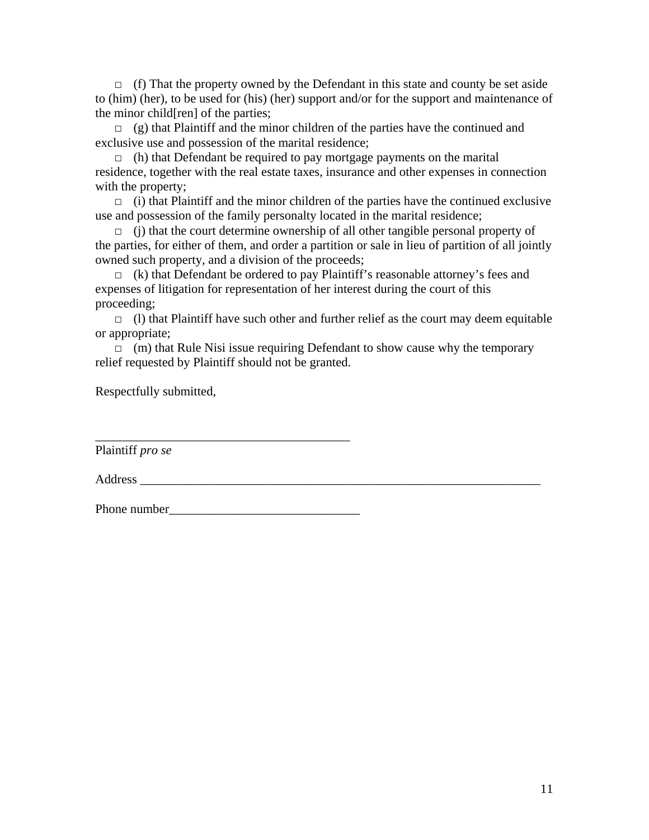$\Box$  (f) That the property owned by the Defendant in this state and county be set aside to (him) (her), to be used for (his) (her) support and/or for the support and maintenance of the minor child[ren] of the parties;

 $\Box$  (g) that Plaintiff and the minor children of the parties have the continued and exclusive use and possession of the marital residence;

 $\Box$  (h) that Defendant be required to pay mortgage payments on the marital residence, together with the real estate taxes, insurance and other expenses in connection with the property;

 $\Box$  (i) that Plaintiff and the minor children of the parties have the continued exclusive use and possession of the family personalty located in the marital residence;

 $\Box$  (i) that the court determine ownership of all other tangible personal property of the parties, for either of them, and order a partition or sale in lieu of partition of all jointly owned such property, and a division of the proceeds;

 $\Box$  (k) that Defendant be ordered to pay Plaintiff's reasonable attorney's fees and expenses of litigation for representation of her interest during the court of this proceeding;

 $\Box$  (1) that Plaintiff have such other and further relief as the court may deem equitable or appropriate;

 $\Box$  (m) that Rule Nisi issue requiring Defendant to show cause why the temporary relief requested by Plaintiff should not be granted.

Respectfully submitted,

\_\_\_\_\_\_\_\_\_\_\_\_\_\_\_\_\_\_\_\_\_\_\_\_\_\_\_\_\_\_\_\_\_\_\_\_\_\_\_\_ Plaintiff *pro se* 

Address **and a set of the set of the set of the set of the set of the set of the set of the set of the set of the set of the set of the set of the set of the set of the set of the set of the set of the set of the set of th** 

Phone number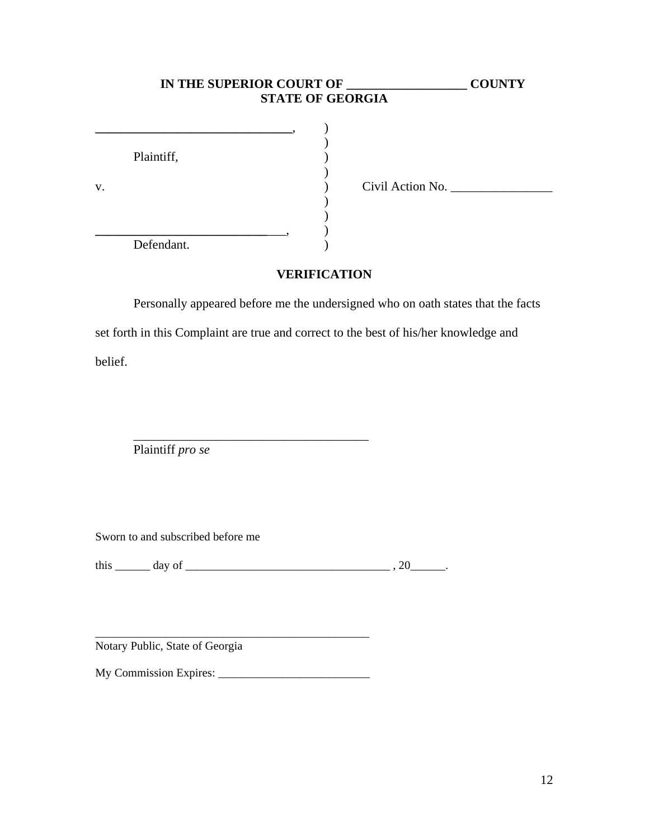|    |            | IN THE SUPERIOR COURT OF<br><b>STATE OF GEORGIA</b> | <b>COUNTY</b> |
|----|------------|-----------------------------------------------------|---------------|
| v. | Plaintiff, | Civil Action No.                                    |               |
|    | Defendant. |                                                     |               |

### **VERIFICATION**

Personally appeared before me the undersigned who on oath states that the facts set forth in this Complaint are true and correct to the best of his/her knowledge and belief.

Plaintiff *pro se*

Sworn to and subscribed before me

this \_\_\_\_\_\_ day of \_\_\_\_\_\_\_\_\_\_\_\_\_\_\_\_\_\_\_\_\_\_\_\_\_\_\_\_\_\_\_\_\_\_\_ , 20\_\_\_\_\_\_.

 $\mathcal{L}_\text{max}$  and  $\mathcal{L}_\text{max}$  and  $\mathcal{L}_\text{max}$  and  $\mathcal{L}_\text{max}$ 

Notary Public, State of Georgia

My Commission Expires: \_\_\_\_\_\_\_\_\_\_\_\_\_\_\_\_\_\_\_\_\_\_\_\_\_\_

\_\_\_\_\_\_\_\_\_\_\_\_\_\_\_\_\_\_\_\_\_\_\_\_\_\_\_\_\_\_\_\_\_\_\_\_\_\_\_\_\_\_\_\_\_\_\_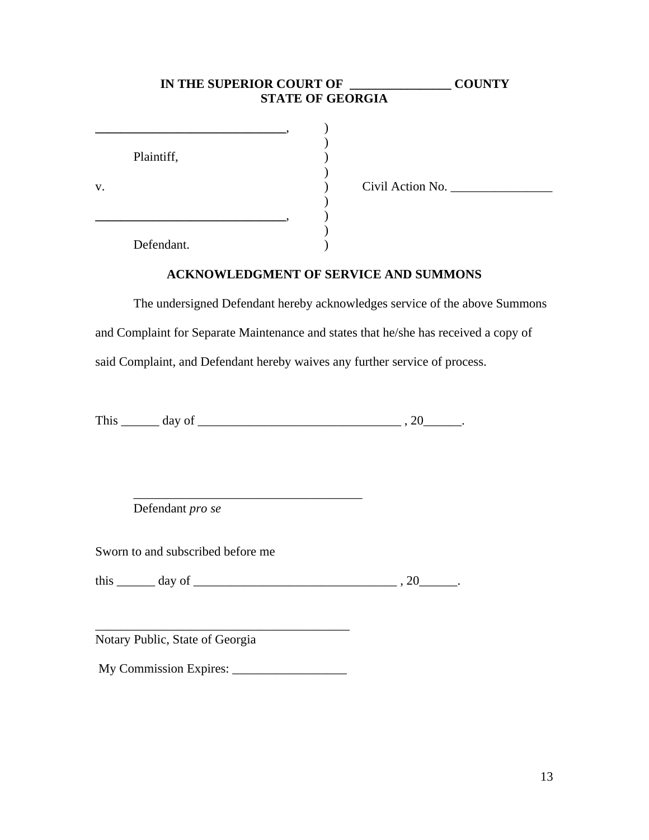# **IN THE SUPERIOR COURT OF \_\_\_\_\_\_\_\_\_\_\_\_\_\_\_\_ COUNTY STATE OF GEORGIA \_\_\_\_\_\_\_\_\_\_\_\_\_\_\_\_\_\_\_\_\_\_\_\_\_\_\_\_\_\_**, )  $)$ Plaintiff,  $\qquad \qquad$  )  $)$ v. ) Civil Action No. \_\_\_\_\_\_\_\_\_\_\_\_\_\_\_\_  $)$ **\_\_\_\_\_\_\_\_\_\_\_\_\_\_\_\_\_\_\_\_\_\_\_\_\_\_\_\_\_\_**, )  $)$ Defendant.

#### **ACKNOWLEDGMENT OF SERVICE AND SUMMONS**

The undersigned Defendant hereby acknowledges service of the above Summons and Complaint for Separate Maintenance and states that he/she has received a copy of said Complaint, and Defendant hereby waives any further service of process.

This \_\_\_\_\_\_ day of \_\_\_\_\_\_\_\_\_\_\_\_\_\_\_\_\_\_\_\_\_\_\_\_\_\_\_\_\_\_\_\_ , 20\_\_\_\_\_\_.

Defendant *pro se*

Sworn to and subscribed before me

this  $\_\_\_$  day of  $\_\_\_\_\_\_\_$ , 20 $\_\_\_\_\_\.\$ 

Notary Public, State of Georgia

My Commission Expires: \_\_\_\_\_\_\_\_\_\_\_\_\_\_\_\_\_\_

\_\_\_\_\_\_\_\_\_\_\_\_\_\_\_\_\_\_\_\_\_\_\_\_\_\_\_\_\_\_\_\_\_\_\_\_\_\_\_\_

 $\overline{\phantom{a}}$  ,  $\overline{\phantom{a}}$  ,  $\overline{\phantom{a}}$  ,  $\overline{\phantom{a}}$  ,  $\overline{\phantom{a}}$  ,  $\overline{\phantom{a}}$  ,  $\overline{\phantom{a}}$  ,  $\overline{\phantom{a}}$  ,  $\overline{\phantom{a}}$  ,  $\overline{\phantom{a}}$  ,  $\overline{\phantom{a}}$  ,  $\overline{\phantom{a}}$  ,  $\overline{\phantom{a}}$  ,  $\overline{\phantom{a}}$  ,  $\overline{\phantom{a}}$  ,  $\overline{\phantom{a}}$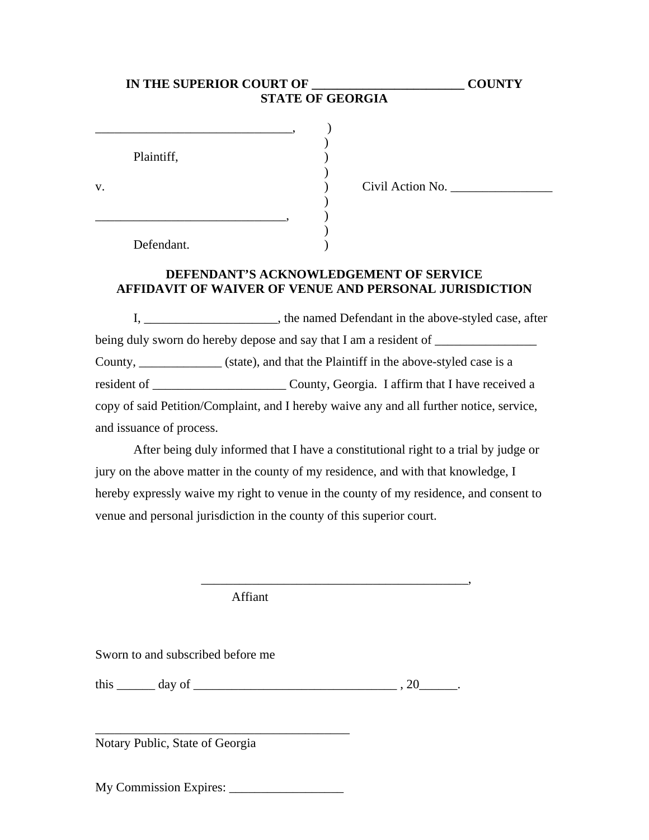|    | IN THE SUPERIOR COURT OF<br><b>STATE OF GEORGIA</b> | <b>COUNTY</b>    |  |
|----|-----------------------------------------------------|------------------|--|
|    |                                                     |                  |  |
|    | Plaintiff,                                          |                  |  |
| v. |                                                     | Civil Action No. |  |
|    |                                                     |                  |  |
|    |                                                     |                  |  |

**DEFENDANT'S ACKNOWLEDGEMENT OF SERVICE AFFIDAVIT OF WAIVER OF VENUE AND PERSONAL JURISDICTION** 

 I, \_\_\_\_\_\_\_\_\_\_\_\_\_\_\_\_\_\_\_\_\_, the named Defendant in the above-styled case, after being duly sworn do hereby depose and say that I am a resident of \_\_\_\_\_\_\_\_\_\_\_\_\_\_\_ County, \_\_\_\_\_\_\_\_\_\_\_\_\_ (state), and that the Plaintiff in the above-styled case is a resident of \_\_\_\_\_\_\_\_\_\_\_\_\_\_\_\_\_\_\_\_\_ County, Georgia. I affirm that I have received a copy of said Petition/Complaint, and I hereby waive any and all further notice, service, and issuance of process.

After being duly informed that I have a constitutional right to a trial by judge or jury on the above matter in the county of my residence, and with that knowledge, I hereby expressly waive my right to venue in the county of my residence, and consent to venue and personal jurisdiction in the county of this superior court.

\_\_\_\_\_\_\_\_\_\_\_\_\_\_\_\_\_\_\_\_\_\_\_\_\_\_\_\_\_\_\_\_\_\_\_\_\_\_\_\_\_\_,

Affiant

Defendant.

Sworn to and subscribed before me

 $\frac{1}{20}$  this  $\frac{1}{20}$  day of  $\frac{1}{20}$ .

Notary Public, State of Georgia

My Commission Expires:

\_\_\_\_\_\_\_\_\_\_\_\_\_\_\_\_\_\_\_\_\_\_\_\_\_\_\_\_\_\_\_\_\_\_\_\_\_\_\_\_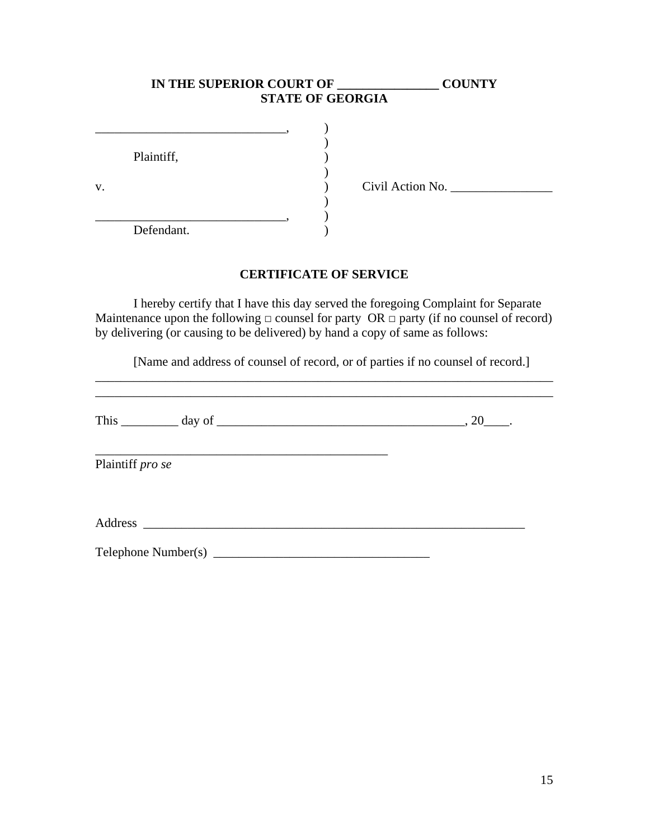# **IN THE SUPERIOR COURT OF \_\_\_\_\_\_\_\_\_\_\_\_\_\_\_\_ COUNTY STATE OF GEORGIA**

|    | Plaintiff, |  |                  |
|----|------------|--|------------------|
|    |            |  |                  |
| V. |            |  | Civil Action No. |
|    |            |  |                  |
|    |            |  |                  |
|    | Defendant. |  |                  |

#### **CERTIFICATE OF SERVICE**

 I hereby certify that I have this day served the foregoing Complaint for Separate Maintenance upon the following  $\Box$  counsel for party OR  $\Box$  party (if no counsel of record) by delivering (or causing to be delivered) by hand a copy of same as follows:

[Name and address of counsel of record, or of parties if no counsel of record.]

\_\_\_\_\_\_\_\_\_\_\_\_\_\_\_\_\_\_\_\_\_\_\_\_\_\_\_\_\_\_\_\_\_\_\_\_\_\_\_\_\_\_\_\_\_\_\_\_\_\_\_\_\_\_\_\_\_\_\_\_\_\_\_\_\_\_\_\_\_\_\_\_

| Plaintiff pro se |  |
|------------------|--|
|                  |  |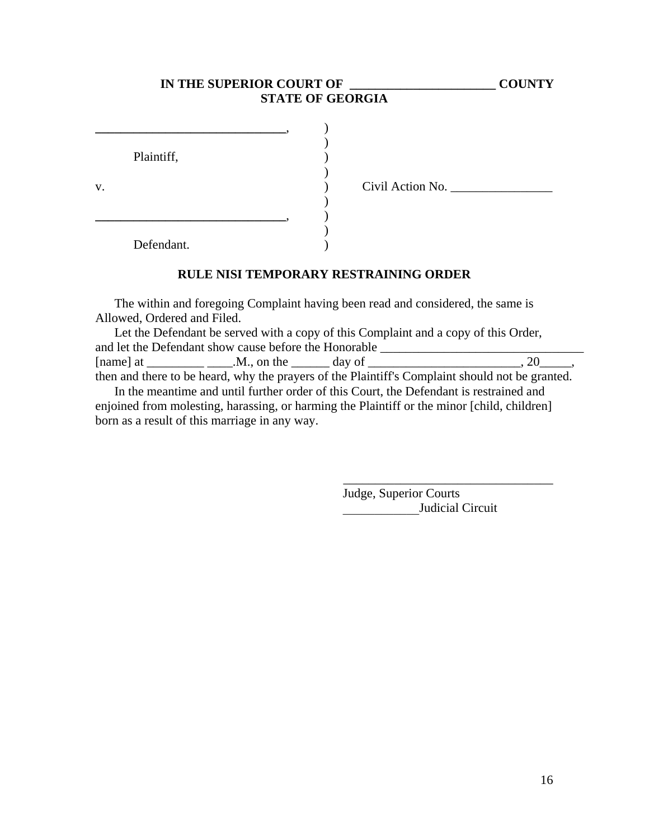### **IN THE SUPERIOR COURT OF \_\_\_\_\_\_\_\_\_\_\_\_\_\_\_\_\_\_\_\_\_\_\_ COUNTY STATE OF GEORGIA**

|    | Plaintiff, |  |
|----|------------|--|
|    |            |  |
| v. |            |  |
|    |            |  |
|    |            |  |
|    |            |  |
|    | Defendant. |  |

v. ) Civil Action No. \_\_\_\_\_\_\_\_\_\_\_\_\_\_\_\_

### **RULE NISI TEMPORARY RESTRAINING ORDER**

The within and foregoing Complaint having been read and considered, the same is Allowed, Ordered and Filed.

Let the Defendant be served with a copy of this Complaint and a copy of this Order, and let the Defendant show cause before the Honorable \_\_\_\_\_\_\_\_\_\_\_\_\_\_\_\_\_\_\_\_\_\_\_\_\_\_ [name] at \_\_\_\_\_\_\_\_\_ \_\_\_\_.M., on the \_\_\_\_\_\_ day of \_\_\_\_\_\_\_\_\_\_\_\_\_\_\_\_\_\_\_\_\_\_\_\_, 20\_\_\_\_\_, then and there to be heard, why the prayers of the Plaintiff's Complaint should not be granted.

In the meantime and until further order of this Court, the Defendant is restrained and enjoined from molesting, harassing, or harming the Plaintiff or the minor [child, children] born as a result of this marriage in any way.

> Judge, Superior Courts Judicial Circuit

\_\_\_\_\_\_\_\_\_\_\_\_\_\_\_\_\_\_\_\_\_\_\_\_\_\_\_\_\_\_\_\_\_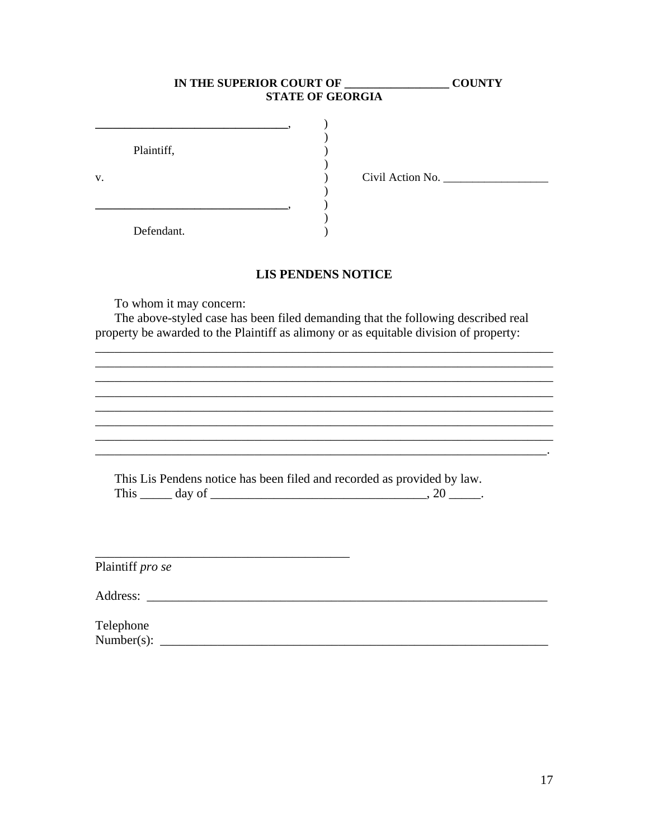| IN THE SUPERIOR COURT OF | <b>STATE OF GEORGIA</b> | <b>COUNTY</b> |
|--------------------------|-------------------------|---------------|
| Plaintiff,               | Civil Action No.        |               |
| Defendant.               |                         |               |

#### **LIS PENDENS NOTICE**

<u>. In the second contract of the second contract of the second contract of the second contract of the second con</u>

<u> 1989 - Johann Stoff, amerikansk politiker († 1908)</u>

To whom it may concern:

The above-styled case has been filed demanding that the following described real property be awarded to the Plaintiff as alimony or as equitable division of property:

This Lis Pendens notice has been filed and recorded as provided by law. This  $\_\_\_$  day of  $\_\_\_\_\_\_\_$ . 20  $\_\_\_\_\_\.\$ 

Plaintiff pro se

Address: <u>the contract of the contract of the contract of the contract of the contract of the contract of the contract of the contract of the contract of the contract of the contract of the contract of the contract of the </u>

V.

Telephone  $Number(s):$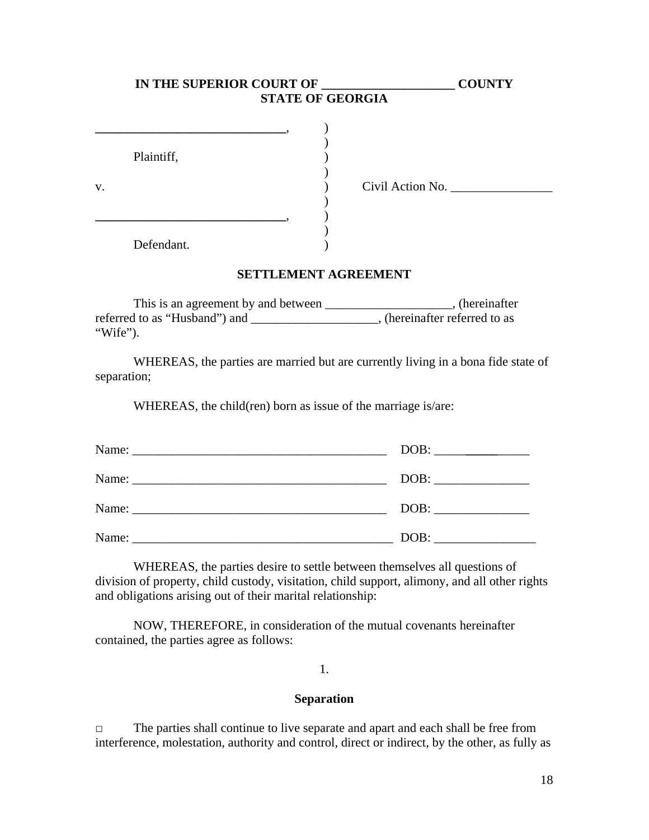|    |            | IN THE SUPERIOR COURT OF<br><b>STATE OF GEORGIA</b> |                  | <b>COUNTY</b> |
|----|------------|-----------------------------------------------------|------------------|---------------|
|    |            |                                                     |                  |               |
|    | Plaintiff, |                                                     |                  |               |
| v. |            |                                                     | Civil Action No. |               |
|    |            |                                                     |                  |               |
|    | Defendant. |                                                     |                  |               |

#### **SETTLEMENT AGREEMENT**

This is an agreement by and between \_\_\_\_\_\_\_\_\_\_\_\_\_\_\_\_\_\_\_\_\_, (hereinafter referred to as "Husband") and \_\_\_\_\_\_\_\_\_\_\_\_\_\_\_\_\_\_\_\_\_, (hereinafter referred to as "Wife").

WHEREAS, the parties are married but are currently living in a bona fide state of separation;

WHEREAS, the child(ren) born as issue of the marriage is/are:

|       | DOB: |
|-------|------|
|       | DOB: |
| Name: | DOB: |
|       | DOB: |

WHEREAS, the parties desire to settle between themselves all questions of division of property, child custody, visitation, child support, alimony, and all other rights and obligations arising out of their marital relationship:

NOW, THEREFORE, in consideration of the mutual covenants hereinafter contained, the parties agree as follows:

1.

#### **Separation**

□ The parties shall continue to live separate and apart and each shall be free from interference, molestation, authority and control, direct or indirect, by the other, as fully as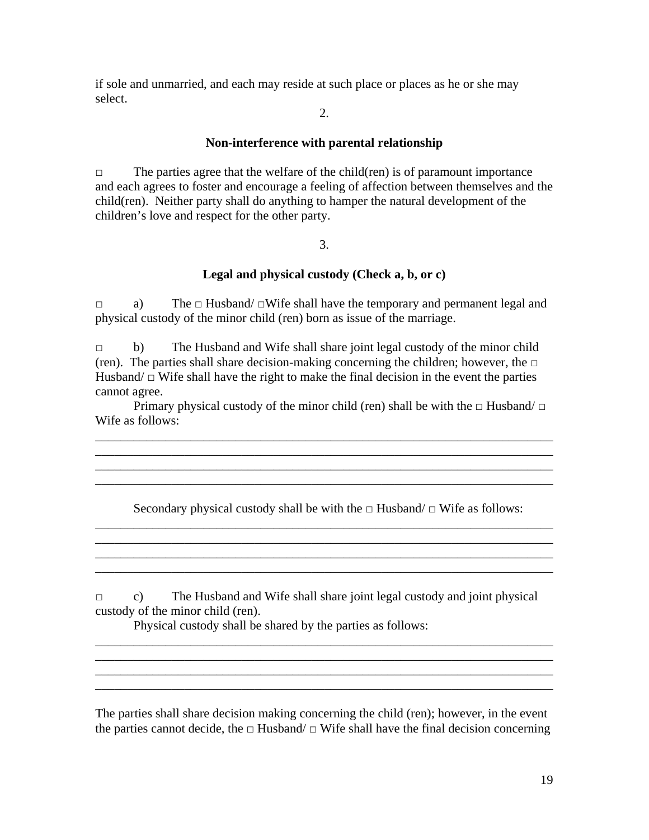if sole and unmarried, and each may reside at such place or places as he or she may select.

2.

#### **Non-interference with parental relationship**

 $\Box$  The parties agree that the welfare of the child(ren) is of paramount importance and each agrees to foster and encourage a feeling of affection between themselves and the child(ren). Neither party shall do anything to hamper the natural development of the children's love and respect for the other party.

3.

### **Legal and physical custody (Check a, b, or c)**

□ a) The □ Husband/ □Wife shall have the temporary and permanent legal and physical custody of the minor child (ren) born as issue of the marriage.

□ b) The Husband and Wife shall share joint legal custody of the minor child (ren). The parties shall share decision-making concerning the children; however, the  $□$ Husband/ $\Box$  Wife shall have the right to make the final decision in the event the parties cannot agree.

Primary physical custody of the minor child (ren) shall be with the  $\Box$  Husband/  $\Box$ Wife as follows:

\_\_\_\_\_\_\_\_\_\_\_\_\_\_\_\_\_\_\_\_\_\_\_\_\_\_\_\_\_\_\_\_\_\_\_\_\_\_\_\_\_\_\_\_\_\_\_\_\_\_\_\_\_\_\_\_\_\_\_\_\_\_\_\_\_\_\_\_\_\_\_\_

Secondary physical custody shall be with the  $\Box$  Husband/  $\Box$  Wife as follows: \_\_\_\_\_\_\_\_\_\_\_\_\_\_\_\_\_\_\_\_\_\_\_\_\_\_\_\_\_\_\_\_\_\_\_\_\_\_\_\_\_\_\_\_\_\_\_\_\_\_\_\_\_\_\_\_\_\_\_\_\_\_\_\_\_\_\_\_\_\_\_\_

\_\_\_\_\_\_\_\_\_\_\_\_\_\_\_\_\_\_\_\_\_\_\_\_\_\_\_\_\_\_\_\_\_\_\_\_\_\_\_\_\_\_\_\_\_\_\_\_\_\_\_\_\_\_\_\_\_\_\_\_\_\_\_\_\_\_\_\_\_\_\_\_

\_\_\_\_\_\_\_\_\_\_\_\_\_\_\_\_\_\_\_\_\_\_\_\_\_\_\_\_\_\_\_\_\_\_\_\_\_\_\_\_\_\_\_\_\_\_\_\_\_\_\_\_\_\_\_\_\_\_\_\_\_\_\_\_\_\_\_\_\_\_\_\_

\_\_\_\_\_\_\_\_\_\_\_\_\_\_\_\_\_\_\_\_\_\_\_\_\_\_\_\_\_\_\_\_\_\_\_\_\_\_\_\_\_\_\_\_\_\_\_\_\_\_\_\_\_\_\_\_\_\_\_\_\_\_\_\_\_\_\_\_\_\_\_\_

 $\Box$  c) The Husband and Wife shall share joint legal custody and joint physical custody of the minor child (ren).

\_\_\_\_\_\_\_\_\_\_\_\_\_\_\_\_\_\_\_\_\_\_\_\_\_\_\_\_\_\_\_\_\_\_\_\_\_\_\_\_\_\_\_\_\_\_\_\_\_\_\_\_\_\_\_\_\_\_\_\_\_\_\_\_\_\_\_\_\_\_\_\_ \_\_\_\_\_\_\_\_\_\_\_\_\_\_\_\_\_\_\_\_\_\_\_\_\_\_\_\_\_\_\_\_\_\_\_\_\_\_\_\_\_\_\_\_\_\_\_\_\_\_\_\_\_\_\_\_\_\_\_\_\_\_\_\_\_\_\_\_\_\_\_\_  $\overline{\phantom{a}}$  ,  $\overline{\phantom{a}}$  ,  $\overline{\phantom{a}}$  ,  $\overline{\phantom{a}}$  ,  $\overline{\phantom{a}}$  ,  $\overline{\phantom{a}}$  ,  $\overline{\phantom{a}}$  ,  $\overline{\phantom{a}}$  ,  $\overline{\phantom{a}}$  ,  $\overline{\phantom{a}}$  ,  $\overline{\phantom{a}}$  ,  $\overline{\phantom{a}}$  ,  $\overline{\phantom{a}}$  ,  $\overline{\phantom{a}}$  ,  $\overline{\phantom{a}}$  ,  $\overline{\phantom{a}}$ \_\_\_\_\_\_\_\_\_\_\_\_\_\_\_\_\_\_\_\_\_\_\_\_\_\_\_\_\_\_\_\_\_\_\_\_\_\_\_\_\_\_\_\_\_\_\_\_\_\_\_\_\_\_\_\_\_\_\_\_\_\_\_\_\_\_\_\_\_\_\_\_

Physical custody shall be shared by the parties as follows:

The parties shall share decision making concerning the child (ren); however, in the event the parties cannot decide, the  $\Box$  Husband/  $\Box$  Wife shall have the final decision concerning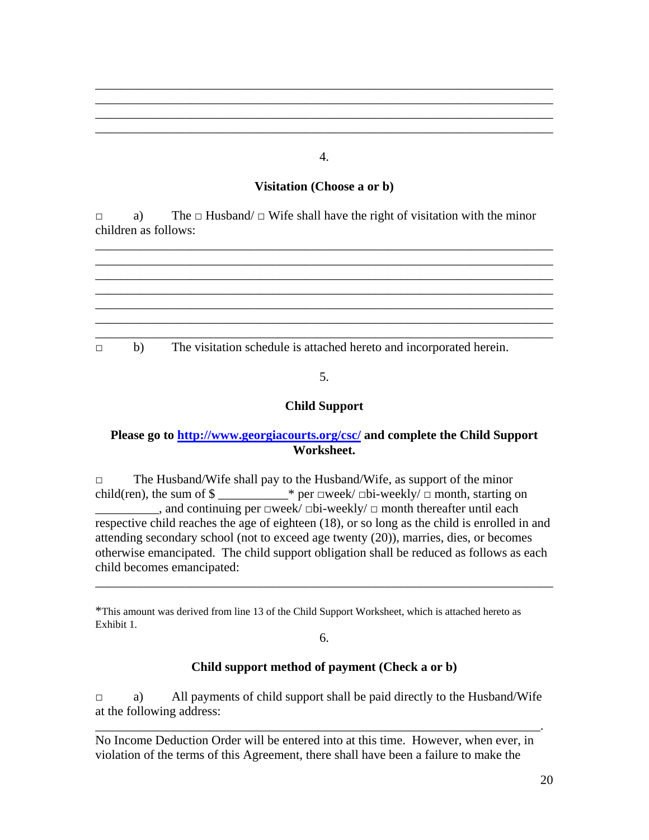#### 4.

\_\_\_\_\_\_\_\_\_\_\_\_\_\_\_\_\_\_\_\_\_\_\_\_\_\_\_\_\_\_\_\_\_\_\_\_\_\_\_\_\_\_\_\_\_\_\_\_\_\_\_\_\_\_\_\_\_\_\_\_\_\_\_\_\_\_\_\_\_\_\_\_ \_\_\_\_\_\_\_\_\_\_\_\_\_\_\_\_\_\_\_\_\_\_\_\_\_\_\_\_\_\_\_\_\_\_\_\_\_\_\_\_\_\_\_\_\_\_\_\_\_\_\_\_\_\_\_\_\_\_\_\_\_\_\_\_\_\_\_\_\_\_\_\_ \_\_\_\_\_\_\_\_\_\_\_\_\_\_\_\_\_\_\_\_\_\_\_\_\_\_\_\_\_\_\_\_\_\_\_\_\_\_\_\_\_\_\_\_\_\_\_\_\_\_\_\_\_\_\_\_\_\_\_\_\_\_\_\_\_\_\_\_\_\_\_\_ \_\_\_\_\_\_\_\_\_\_\_\_\_\_\_\_\_\_\_\_\_\_\_\_\_\_\_\_\_\_\_\_\_\_\_\_\_\_\_\_\_\_\_\_\_\_\_\_\_\_\_\_\_\_\_\_\_\_\_\_\_\_\_\_\_\_\_\_\_\_\_\_

### **Visitation (Choose a or b)**

\_\_\_\_\_\_\_\_\_\_\_\_\_\_\_\_\_\_\_\_\_\_\_\_\_\_\_\_\_\_\_\_\_\_\_\_\_\_\_\_\_\_\_\_\_\_\_\_\_\_\_\_\_\_\_\_\_\_\_\_\_\_\_\_\_\_\_\_\_\_\_\_

 $\Box$  a) The  $\Box$  Husband/  $\Box$  Wife shall have the right of visitation with the minor children as follows:



### 5.

### **Child Support**

### **Please go to http://www.georgiacourts.org/csc/ and complete the Child Support Worksheet.**

□ The Husband/Wife shall pay to the Husband/Wife, as support of the minor child(ren), the sum of  $\text{\$}$  \_\_\_\_\_\_\_\_\_\_\_\_\* per  $\Box$ week/ $\Box$ bi-weekly/ $\Box$  month, starting on  $\Box$ , and continuing per □week/ □bi-weekly/ □ month thereafter until each respective child reaches the age of eighteen (18), or so long as the child is enrolled in and attending secondary school (not to exceed age twenty (20)), marries, dies, or becomes otherwise emancipated. The child support obligation shall be reduced as follows as each child becomes emancipated:

\*This amount was derived from line 13 of the Child Support Worksheet, which is attached hereto as Exhibit 1.

6.

\_\_\_\_\_\_\_\_\_\_\_\_\_\_\_\_\_\_\_\_\_\_\_\_\_\_\_\_\_\_\_\_\_\_\_\_\_\_\_\_\_\_\_\_\_\_\_\_\_\_\_\_\_\_\_\_\_\_\_\_\_\_\_\_\_\_\_\_\_\_\_\_

### **Child support method of payment (Check a or b)**

□ a) All payments of child support shall be paid directly to the Husband/Wife at the following address:

\_\_\_\_\_\_\_\_\_\_\_\_\_\_\_\_\_\_\_\_\_\_\_\_\_\_\_\_\_\_\_\_\_\_\_\_\_\_\_\_\_\_\_\_\_\_\_\_\_\_\_\_\_\_\_\_\_\_\_\_\_\_\_\_\_\_\_\_\_\_.

No Income Deduction Order will be entered into at this time. However, when ever, in violation of the terms of this Agreement, there shall have been a failure to make the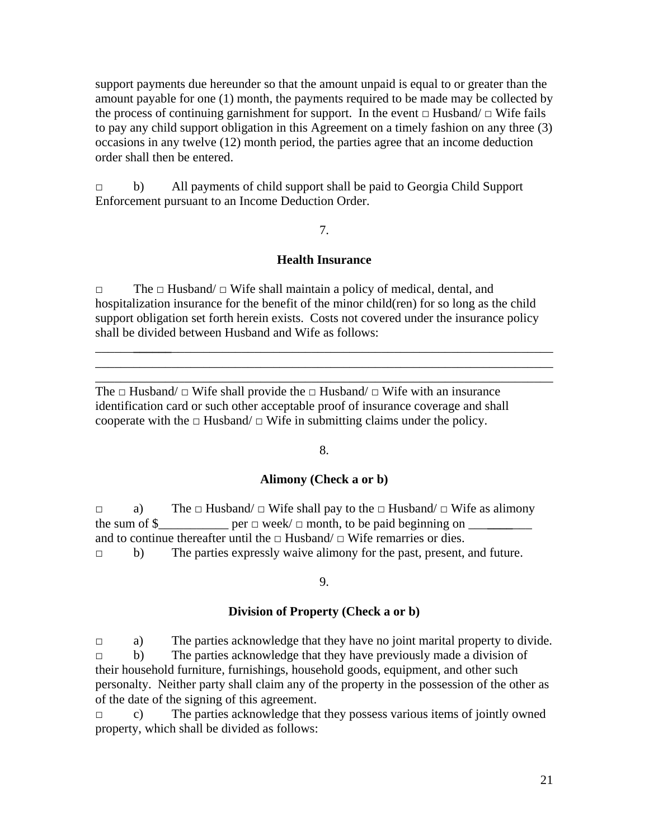support payments due hereunder so that the amount unpaid is equal to or greater than the amount payable for one (1) month, the payments required to be made may be collected by the process of continuing garnishment for support. In the event  $\Box$  Husband/  $\Box$  Wife fails to pay any child support obligation in this Agreement on a timely fashion on any three (3) occasions in any twelve (12) month period, the parties agree that an income deduction order shall then be entered.

□ b) All payments of child support shall be paid to Georgia Child Support Enforcement pursuant to an Income Deduction Order.

#### 7.

#### **Health Insurance**

□ The □ Husband/ □ Wife shall maintain a policy of medical, dental, and hospitalization insurance for the benefit of the minor child(ren) for so long as the child support obligation set forth herein exists. Costs not covered under the insurance policy shall be divided between Husband and Wife as follows:

\_\_\_\_\_\_**\_\_\_\_\_\_**\_\_\_\_\_\_\_\_\_\_\_\_\_\_\_\_\_\_\_\_\_\_\_\_\_\_\_\_\_\_\_\_\_\_\_\_\_\_\_\_\_\_\_\_\_\_\_\_\_\_\_\_\_\_\_\_\_\_\_\_ \_\_\_\_\_\_\_\_\_\_\_\_\_\_\_\_\_\_\_\_\_\_\_\_\_\_\_\_\_\_\_\_\_\_\_\_\_\_\_\_\_\_\_\_\_\_\_\_\_\_\_\_\_\_\_\_\_\_\_\_\_\_\_\_\_\_\_\_\_\_\_\_ \_\_\_\_\_\_\_\_\_\_\_\_\_\_\_\_\_\_\_\_\_\_\_\_\_\_\_\_\_\_\_\_\_\_\_\_\_\_\_\_\_\_\_\_\_\_\_\_\_\_\_\_\_\_\_\_\_\_\_\_\_\_\_\_\_\_\_\_\_\_\_\_

The  $\Box$  Husband/  $\Box$  Wife shall provide the  $\Box$  Husband/  $\Box$  Wife with an insurance identification card or such other acceptable proof of insurance coverage and shall cooperate with the  $\Box$  Husband/ $\Box$  Wife in submitting claims under the policy.

#### 8.

#### **Alimony (Check a or b)**

 $\Box$  a) The  $\Box$  Husband/  $\Box$  Wife shall pay to the  $\Box$  Husband/  $\Box$  Wife as alimony the sum of  $\$\_\_$  per  $\Box$  week/  $\Box$  month, to be paid beginning on  $\_\_$ and to continue thereafter until the  $\Box$  Husband/  $\Box$  Wife remarries or dies. □ b) The parties expressly waive alimony for the past, present, and future.

#### 9.

#### **Division of Property (Check a or b)**

□ a) The parties acknowledge that they have no joint marital property to divide.  $\Box$  b) The parties acknowledge that they have previously made a division of their household furniture, furnishings, household goods, equipment, and other such personalty. Neither party shall claim any of the property in the possession of the other as of the date of the signing of this agreement.

 $\Box$  c) The parties acknowledge that they possess various items of jointly owned property, which shall be divided as follows: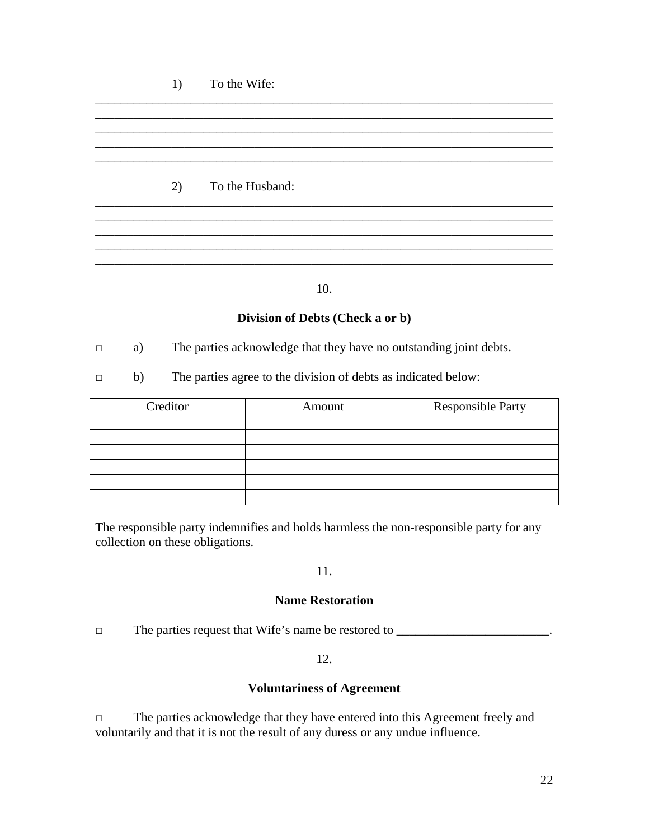#### 1) To the Wife:

### 2) To the Husband:

10.

 $\_$  ,  $\_$  ,  $\_$  ,  $\_$  ,  $\_$  ,  $\_$  ,  $\_$  ,  $\_$  ,  $\_$  ,  $\_$  ,  $\_$  ,  $\_$  ,  $\_$  ,  $\_$  ,  $\_$  ,  $\_$  ,  $\_$  ,  $\_$  ,  $\_$  ,  $\_$  ,  $\_$  ,  $\_$  ,  $\_$  ,  $\_$  ,  $\_$  ,  $\_$  ,  $\_$  ,  $\_$  ,  $\_$  ,  $\_$  ,  $\_$  ,  $\_$  ,  $\_$  ,  $\_$  ,  $\_$  ,  $\_$  ,  $\_$  ,

\_\_\_\_\_\_\_\_\_\_\_\_\_\_\_\_\_\_\_\_\_\_\_\_\_\_\_\_\_\_\_\_\_\_\_\_\_\_\_\_\_\_\_\_\_\_\_\_\_\_\_\_\_\_\_\_\_\_\_\_\_\_\_\_\_\_\_\_\_\_\_\_ \_\_\_\_\_\_\_\_\_\_\_\_\_\_\_\_\_\_\_\_\_\_\_\_\_\_\_\_\_\_\_\_\_\_\_\_\_\_\_\_\_\_\_\_\_\_\_\_\_\_\_\_\_\_\_\_\_\_\_\_\_\_\_\_\_\_\_\_\_\_\_\_

\_\_\_\_\_\_\_\_\_\_\_\_\_\_\_\_\_\_\_\_\_\_\_\_\_\_\_\_\_\_\_\_\_\_\_\_\_\_\_\_\_\_\_\_\_\_\_\_\_\_\_\_\_\_\_\_\_\_\_\_\_\_\_\_\_\_\_\_\_\_\_\_

\_\_\_\_\_\_\_\_\_\_\_\_\_\_\_\_\_\_\_\_\_\_\_\_\_\_\_\_\_\_\_\_\_\_\_\_\_\_\_\_\_\_\_\_\_\_\_\_\_\_\_\_\_\_\_\_\_\_\_\_\_\_\_\_\_\_\_\_\_\_\_\_ \_\_\_\_\_\_\_\_\_\_\_\_\_\_\_\_\_\_\_\_\_\_\_\_\_\_\_\_\_\_\_\_\_\_\_\_\_\_\_\_\_\_\_\_\_\_\_\_\_\_\_\_\_\_\_\_\_\_\_\_\_\_\_\_\_\_\_\_\_\_\_\_

#### **Division of Debts (Check a or b)**

□ a) The parties acknowledge that they have no outstanding joint debts.

□ b) The parties agree to the division of debts as indicated below:

| Creditor | Amount | <b>Responsible Party</b> |
|----------|--------|--------------------------|
|          |        |                          |
|          |        |                          |
|          |        |                          |
|          |        |                          |
|          |        |                          |
|          |        |                          |

The responsible party indemnifies and holds harmless the non-responsible party for any collection on these obligations.

#### 11.

#### **Name Restoration**

 $\Box$  The parties request that Wife's name be restored to  $\Box$ 

#### 12.

#### **Voluntariness of Agreement**

□ The parties acknowledge that they have entered into this Agreement freely and voluntarily and that it is not the result of any duress or any undue influence.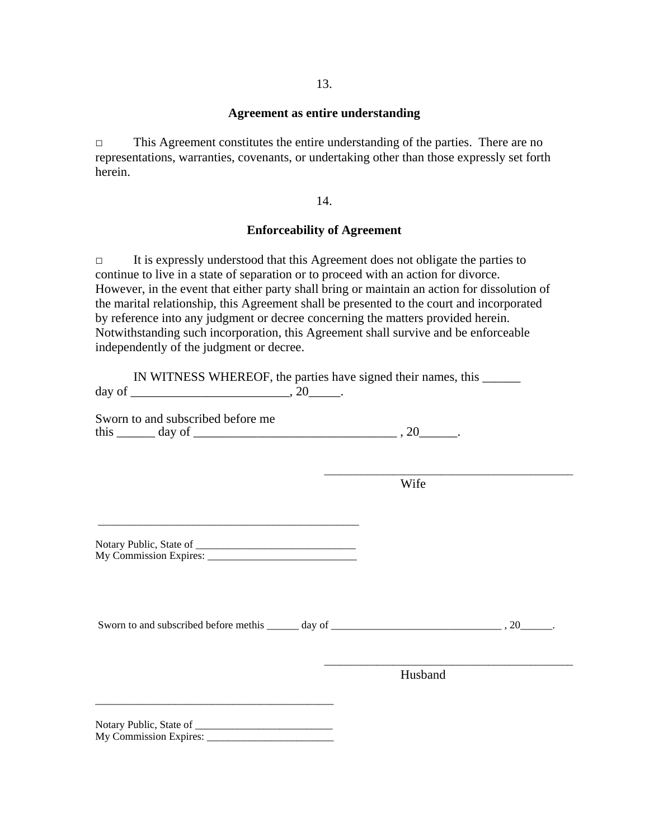#### **Agreement as entire understanding**

□ This Agreement constitutes the entire understanding of the parties. There are no representations, warranties, covenants, or undertaking other than those expressly set forth herein.

14.

#### **Enforceability of Agreement**

□ It is expressly understood that this Agreement does not obligate the parties to continue to live in a state of separation or to proceed with an action for divorce. However, in the event that either party shall bring or maintain an action for dissolution of the marital relationship, this Agreement shall be presented to the court and incorporated by reference into any judgment or decree concerning the matters provided herein. Notwithstanding such incorporation, this Agreement shall survive and be enforceable independently of the judgment or decree.

IN WITNESS WHEREOF, the parties have signed their names, this \_\_\_\_\_\_ day of  $\qquad \qquad \ldots$ 

Sworn to and subscribed before me this \_\_\_\_\_\_ day of \_\_\_\_\_\_\_\_\_\_\_\_\_\_\_\_\_\_\_\_\_\_\_\_\_\_\_\_\_\_\_\_ , 20\_\_\_\_\_\_.

**Example 2018** Wife

Notary Public, State of \_\_\_\_\_\_\_\_\_\_\_\_\_\_\_\_\_\_\_\_\_\_\_\_\_\_\_\_\_\_ My Commission Expires: \_\_\_\_\_\_\_\_\_\_\_\_\_\_\_\_\_\_\_\_\_\_\_\_\_\_\_\_

\_\_\_\_\_\_\_\_\_\_\_\_\_\_\_\_\_\_\_\_\_\_\_\_\_\_\_\_\_\_\_\_\_\_\_\_\_\_\_\_\_\_\_\_\_\_\_\_\_

Sworn to and subscribed before methis \_\_\_\_\_\_ day of \_\_\_\_\_\_\_\_\_\_\_\_\_\_\_\_\_\_\_\_\_\_\_\_\_\_\_\_\_, 20\_\_\_\_\_\_.

 $\overline{\phantom{a}}$  , and the contract of the contract of the contract of the contract of the contract of the contract of the contract of the contract of the contract of the contract of the contract of the contract of the contrac

 $\overline{\phantom{a}}$  , and the contract of the contract of the contract of the contract of the contract of the contract of the contract of the contract of the contract of the contract of the contract of the contract of the contrac

Husband

Notary Public, State of \_\_\_\_\_\_\_\_\_\_\_\_\_\_\_\_\_\_\_\_\_\_\_\_\_\_ My Commission Expires: \_\_\_\_\_\_\_\_\_\_\_\_\_\_\_\_\_\_\_\_\_\_\_\_

\_\_\_\_\_\_\_\_\_\_\_\_\_\_\_\_\_\_\_\_\_\_\_\_\_\_\_\_\_\_\_\_\_\_\_\_\_\_\_\_\_\_\_\_\_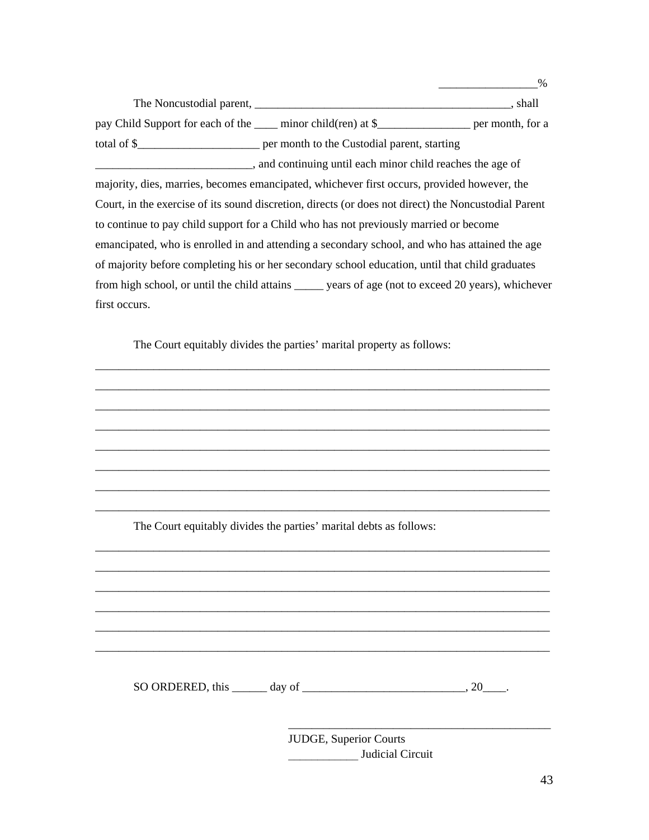The Noncustodial parent, \_\_\_\_\_\_\_\_\_\_\_\_\_\_\_\_\_\_\_\_\_\_\_\_\_\_\_\_\_\_\_\_\_\_\_\_\_\_\_\_\_\_\_\_, shall pay Child Support for each of the \_\_\_\_ minor child(ren) at \$\_\_\_\_\_\_\_\_\_\_\_\_\_\_\_\_\_\_ per month, for a total of \$\_\_\_\_\_\_\_\_\_\_\_\_\_\_\_\_\_\_\_\_\_ per month to the Custodial parent, starting \_\_\_\_\_\_\_\_\_\_\_\_\_\_\_\_\_\_\_\_\_\_\_\_\_\_\_, and continuing until each minor child reaches the age of majority, dies, marries, becomes emancipated, whichever first occurs, provided however, the Court, in the exercise of its sound discretion, directs (or does not direct) the Noncustodial Parent to continue to pay child support for a Child who has not previously married or become emancipated, who is enrolled in and attending a secondary school, and who has attained the age of majority before completing his or her secondary school education, until that child graduates from high school, or until the child attains \_\_\_\_\_ years of age (not to exceed 20 years), whichever first occurs.

\_\_\_\_\_\_\_\_\_\_\_\_\_\_\_\_\_\_\_\_\_\_\_\_\_\_\_\_\_\_\_\_\_\_\_\_\_\_\_\_\_\_\_\_\_\_\_\_\_\_\_\_\_\_\_\_\_\_\_\_\_\_\_\_\_\_\_\_\_\_\_\_\_\_\_\_\_\_ \_\_\_\_\_\_\_\_\_\_\_\_\_\_\_\_\_\_\_\_\_\_\_\_\_\_\_\_\_\_\_\_\_\_\_\_\_\_\_\_\_\_\_\_\_\_\_\_\_\_\_\_\_\_\_\_\_\_\_\_\_\_\_\_\_\_\_\_\_\_\_\_\_\_\_\_\_\_ \_\_\_\_\_\_\_\_\_\_\_\_\_\_\_\_\_\_\_\_\_\_\_\_\_\_\_\_\_\_\_\_\_\_\_\_\_\_\_\_\_\_\_\_\_\_\_\_\_\_\_\_\_\_\_\_\_\_\_\_\_\_\_\_\_\_\_\_\_\_\_\_\_\_\_\_\_\_ \_\_\_\_\_\_\_\_\_\_\_\_\_\_\_\_\_\_\_\_\_\_\_\_\_\_\_\_\_\_\_\_\_\_\_\_\_\_\_\_\_\_\_\_\_\_\_\_\_\_\_\_\_\_\_\_\_\_\_\_\_\_\_\_\_\_\_\_\_\_\_\_\_\_\_\_\_\_ \_\_\_\_\_\_\_\_\_\_\_\_\_\_\_\_\_\_\_\_\_\_\_\_\_\_\_\_\_\_\_\_\_\_\_\_\_\_\_\_\_\_\_\_\_\_\_\_\_\_\_\_\_\_\_\_\_\_\_\_\_\_\_\_\_\_\_\_\_\_\_\_\_\_\_\_\_\_ \_\_\_\_\_\_\_\_\_\_\_\_\_\_\_\_\_\_\_\_\_\_\_\_\_\_\_\_\_\_\_\_\_\_\_\_\_\_\_\_\_\_\_\_\_\_\_\_\_\_\_\_\_\_\_\_\_\_\_\_\_\_\_\_\_\_\_\_\_\_\_\_\_\_\_\_\_\_ \_\_\_\_\_\_\_\_\_\_\_\_\_\_\_\_\_\_\_\_\_\_\_\_\_\_\_\_\_\_\_\_\_\_\_\_\_\_\_\_\_\_\_\_\_\_\_\_\_\_\_\_\_\_\_\_\_\_\_\_\_\_\_\_\_\_\_\_\_\_\_\_\_\_\_\_\_\_ \_\_\_\_\_\_\_\_\_\_\_\_\_\_\_\_\_\_\_\_\_\_\_\_\_\_\_\_\_\_\_\_\_\_\_\_\_\_\_\_\_\_\_\_\_\_\_\_\_\_\_\_\_\_\_\_\_\_\_\_\_\_\_\_\_\_\_\_\_\_\_\_\_\_\_\_\_\_

The Court equitably divides the parties' marital property as follows:

The Court equitably divides the parties' marital debts as follows:

SO ORDERED, this  $\rule{1em}{0.15mm}$  day of  $\rule{1em}{0.15mm}$   $\qquad \qquad$   $\qquad \qquad$   $\qquad \qquad$   $\qquad \qquad$   $\qquad \qquad$   $\qquad \qquad$ 

\_\_\_\_\_\_\_\_\_\_\_\_\_\_\_\_\_\_\_\_\_\_\_\_\_\_\_\_\_\_\_\_\_\_\_\_\_\_\_\_\_\_\_\_\_\_\_\_\_\_\_\_\_\_\_\_\_\_\_\_\_\_\_\_\_\_\_\_\_\_\_\_\_\_\_\_\_\_ \_\_\_\_\_\_\_\_\_\_\_\_\_\_\_\_\_\_\_\_\_\_\_\_\_\_\_\_\_\_\_\_\_\_\_\_\_\_\_\_\_\_\_\_\_\_\_\_\_\_\_\_\_\_\_\_\_\_\_\_\_\_\_\_\_\_\_\_\_\_\_\_\_\_\_\_\_\_ \_\_\_\_\_\_\_\_\_\_\_\_\_\_\_\_\_\_\_\_\_\_\_\_\_\_\_\_\_\_\_\_\_\_\_\_\_\_\_\_\_\_\_\_\_\_\_\_\_\_\_\_\_\_\_\_\_\_\_\_\_\_\_\_\_\_\_\_\_\_\_\_\_\_\_\_\_\_ \_\_\_\_\_\_\_\_\_\_\_\_\_\_\_\_\_\_\_\_\_\_\_\_\_\_\_\_\_\_\_\_\_\_\_\_\_\_\_\_\_\_\_\_\_\_\_\_\_\_\_\_\_\_\_\_\_\_\_\_\_\_\_\_\_\_\_\_\_\_\_\_\_\_\_\_\_\_ \_\_\_\_\_\_\_\_\_\_\_\_\_\_\_\_\_\_\_\_\_\_\_\_\_\_\_\_\_\_\_\_\_\_\_\_\_\_\_\_\_\_\_\_\_\_\_\_\_\_\_\_\_\_\_\_\_\_\_\_\_\_\_\_\_\_\_\_\_\_\_\_\_\_\_\_\_\_ \_\_\_\_\_\_\_\_\_\_\_\_\_\_\_\_\_\_\_\_\_\_\_\_\_\_\_\_\_\_\_\_\_\_\_\_\_\_\_\_\_\_\_\_\_\_\_\_\_\_\_\_\_\_\_\_\_\_\_\_\_\_\_\_\_\_\_\_\_\_\_\_\_\_\_\_\_\_

> JUDGE, Superior Courts Judicial Circuit

\_\_\_\_\_\_\_\_\_\_\_\_\_\_\_\_\_\_\_\_\_\_\_\_\_\_\_\_\_\_\_\_\_\_\_\_\_\_\_\_\_\_\_\_\_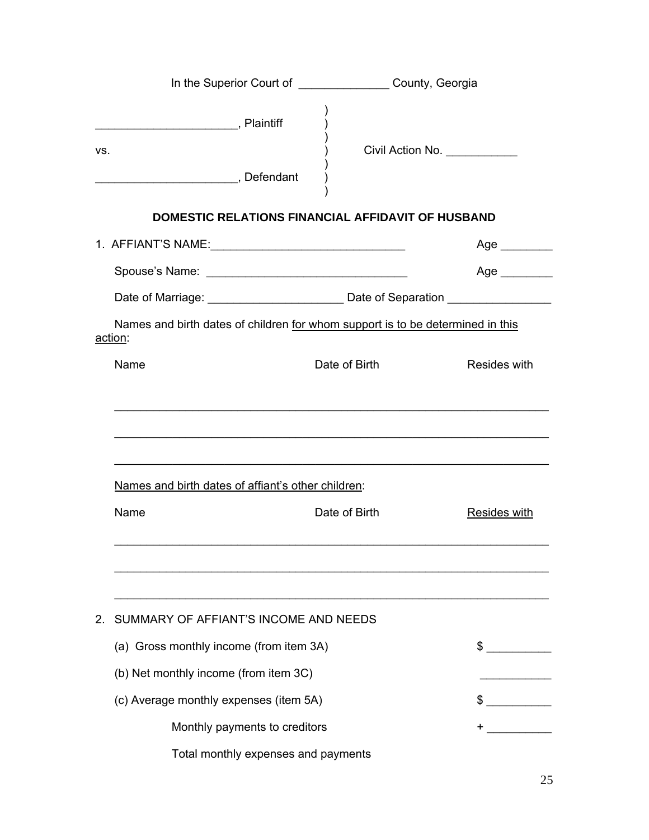|                                                                                           | In the Superior Court of ___________________County, Georgia |               |                               |
|-------------------------------------------------------------------------------------------|-------------------------------------------------------------|---------------|-------------------------------|
| VS.<br>Defendant                                                                          |                                                             |               | Civil Action No. ____________ |
|                                                                                           | <b>DOMESTIC RELATIONS FINANCIAL AFFIDAVIT OF HUSBAND</b>    |               |                               |
|                                                                                           |                                                             |               | Age ________                  |
|                                                                                           |                                                             |               | Age $\qquad$                  |
|                                                                                           |                                                             |               |                               |
| Names and birth dates of children for whom support is to be determined in this<br>action: |                                                             |               |                               |
| Name                                                                                      |                                                             | Date of Birth | Resides with                  |
| Names and birth dates of affiant's other children:<br>Name                                |                                                             | Date of Birth | <b>Resides with</b>           |
|                                                                                           |                                                             |               |                               |
| SUMMARY OF AFFIANT'S INCOME AND NEEDS<br>2.                                               |                                                             |               |                               |
| (a) Gross monthly income (from item 3A)                                                   |                                                             |               | $\mathbb{S}$                  |
| (b) Net monthly income (from item 3C)                                                     |                                                             |               |                               |
| (c) Average monthly expenses (item 5A)                                                    |                                                             |               |                               |
|                                                                                           | Monthly payments to creditors                               |               |                               |
|                                                                                           | Total monthly expenses and payments                         |               |                               |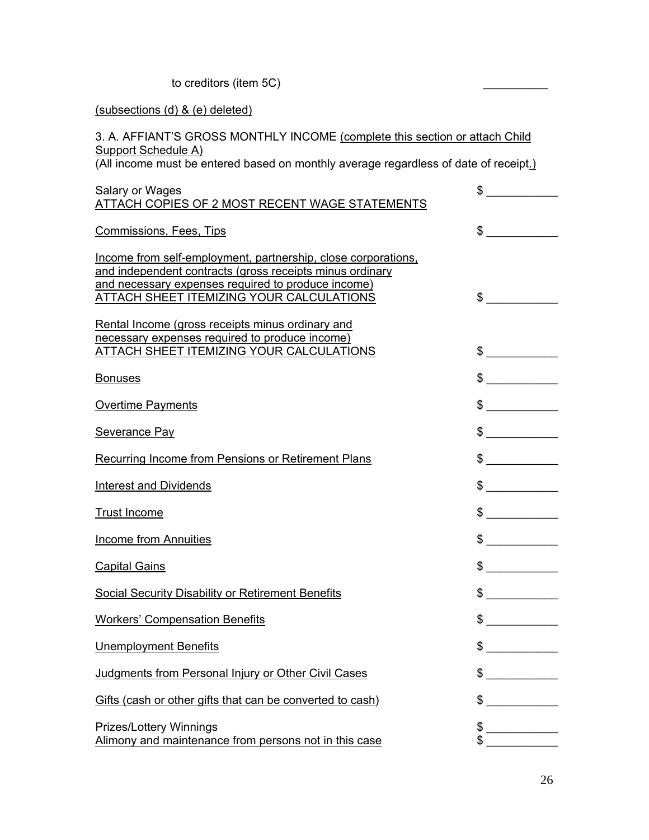to creditors (item 5C)

### (subsections (d) & (e) deleted)

### 3. A. AFFIANT'S GROSS MONTHLY INCOME (complete this section or attach Child Support Schedule A)

(All income must be entered based on monthly average regardless of date of receipt.)

| Salary or Wages<br>ATTACH COPIES OF 2 MOST RECENT WAGE STATEMENTS                                                                                                                                                                  | \$                                   |
|------------------------------------------------------------------------------------------------------------------------------------------------------------------------------------------------------------------------------------|--------------------------------------|
| <b>Commissions, Fees, Tips</b>                                                                                                                                                                                                     | \$                                   |
| Income from self-employment, partnership, close corporations,<br>and independent contracts (gross receipts minus ordinary<br>and necessary expenses required to produce income)<br><b>ATTACH SHEET ITEMIZING YOUR CALCULATIONS</b> | $\sim$                               |
| Rental Income (gross receipts minus ordinary and<br>necessary expenses required to produce income)<br><b>ATTACH SHEET ITEMIZING YOUR CALCULATIONS</b>                                                                              | $\frac{1}{2}$                        |
| <b>Bonuses</b>                                                                                                                                                                                                                     | $\frac{1}{2}$                        |
| <b>Overtime Payments</b>                                                                                                                                                                                                           | $\frac{1}{2}$                        |
| <b>Severance Pay</b>                                                                                                                                                                                                               | $\frac{1}{2}$                        |
| <b>Recurring Income from Pensions or Retirement Plans</b>                                                                                                                                                                          | $\frac{1}{2}$                        |
| <b>Interest and Dividends</b>                                                                                                                                                                                                      | $\frac{1}{2}$                        |
| <b>Trust Income</b>                                                                                                                                                                                                                | $\frac{1}{2}$                        |
| <b>Income from Annuities</b>                                                                                                                                                                                                       | $\frac{1}{2}$                        |
| <b>Capital Gains</b>                                                                                                                                                                                                               | $\frac{1}{2}$                        |
| <b>Social Security Disability or Retirement Benefits</b>                                                                                                                                                                           | $\frac{1}{2}$                        |
| <b>Workers' Compensation Benefits</b>                                                                                                                                                                                              | $\frac{1}{2}$                        |
| <b>Unemployment Benefits</b>                                                                                                                                                                                                       | \$                                   |
| Judgments from Personal Injury or Other Civil Cases                                                                                                                                                                                | \$                                   |
| Gifts (cash or other gifts that can be converted to cash)                                                                                                                                                                          | \$<br><u> 1989 - Jan James James</u> |
| <b>Prizes/Lottery Winnings</b><br>Alimony and maintenance from persons not in this case                                                                                                                                            | \$<br>\$                             |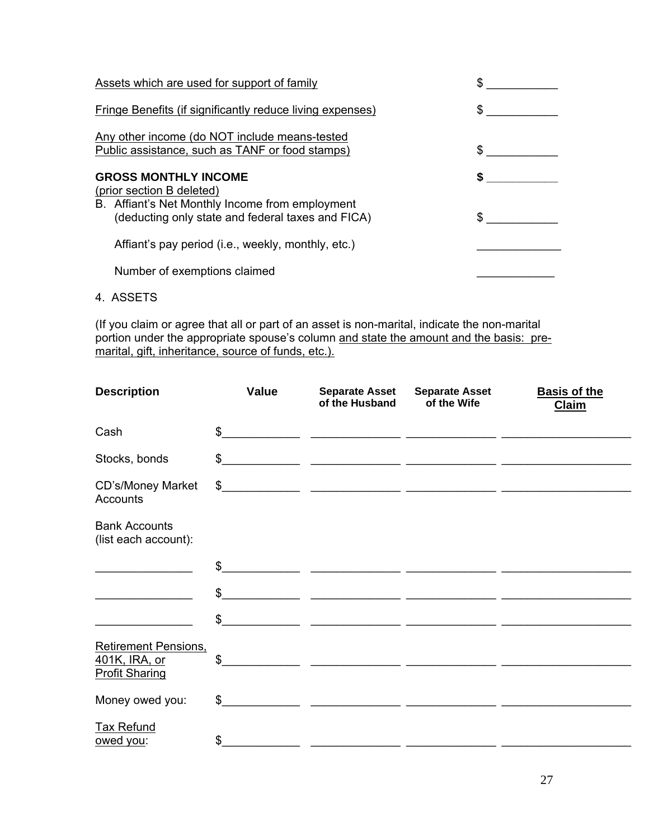| Assets which are used for support of family                                                                                                                      |  |
|------------------------------------------------------------------------------------------------------------------------------------------------------------------|--|
| <b>Fringe Benefits (if significantly reduce living expenses)</b>                                                                                                 |  |
| Any other income (do NOT include means-tested<br>Public assistance, such as TANF or food stamps)                                                                 |  |
| <b>GROSS MONTHLY INCOME</b><br>(prior section B deleted)<br>B. Affiant's Net Monthly Income from employment<br>(deducting only state and federal taxes and FICA) |  |
| Affiant's pay period (i.e., weekly, monthly, etc.)                                                                                                               |  |
| Number of exemptions claimed                                                                                                                                     |  |

4. ASSETS

(If you claim or agree that all or part of an asset is non-marital, indicate the non-marital portion under the appropriate spouse's column and state the amount and the basis: premarital, gift, inheritance, source of funds, etc.).

| <b>Description</b>                                             | <b>Value</b>  | <b>Separate Asset</b><br>of the Husband                                                                              | <b>Separate Asset</b><br>of the Wife | <b>Basis of the</b><br><b>Claim</b> |
|----------------------------------------------------------------|---------------|----------------------------------------------------------------------------------------------------------------------|--------------------------------------|-------------------------------------|
| Cash                                                           | $\mathcal{S}$ | <u> 1999 - Jan James James, martin amerikan basar (j. 1908)</u>                                                      |                                      |                                     |
| Stocks, bonds                                                  |               | $\frac{1}{2}$                                                                                                        |                                      |                                     |
| CD's/Money Market<br><b>Accounts</b>                           |               | $\frac{1}{2}$                                                                                                        |                                      |                                     |
| <b>Bank Accounts</b><br>(list each account):                   |               |                                                                                                                      |                                      |                                     |
|                                                                | $\mathfrak s$ |                                                                                                                      |                                      |                                     |
|                                                                | $\frac{1}{2}$ |                                                                                                                      |                                      |                                     |
|                                                                | $\frac{1}{2}$ | <u> 1980 - Andrea Andrewski, američki profesor (d. 1980)</u>                                                         |                                      |                                     |
| Retirement Pensions.<br>401K, IRA, or<br><b>Profit Sharing</b> | \$            | <u> 1989 - Johann John Stone, markin amerikan bisa di sebagai pertama dan pertama dan pertama dan pertama dan pe</u> |                                      |                                     |
| Money owed you:                                                | $\mathbb{S}$  | <u> 2000 - Jan Barnett, mars and de la provincia de la provincia de la provincia de la provincia de la provincia</u> |                                      |                                     |
| <b>Tax Refund</b><br>owed you:                                 | $\frac{1}{2}$ |                                                                                                                      |                                      |                                     |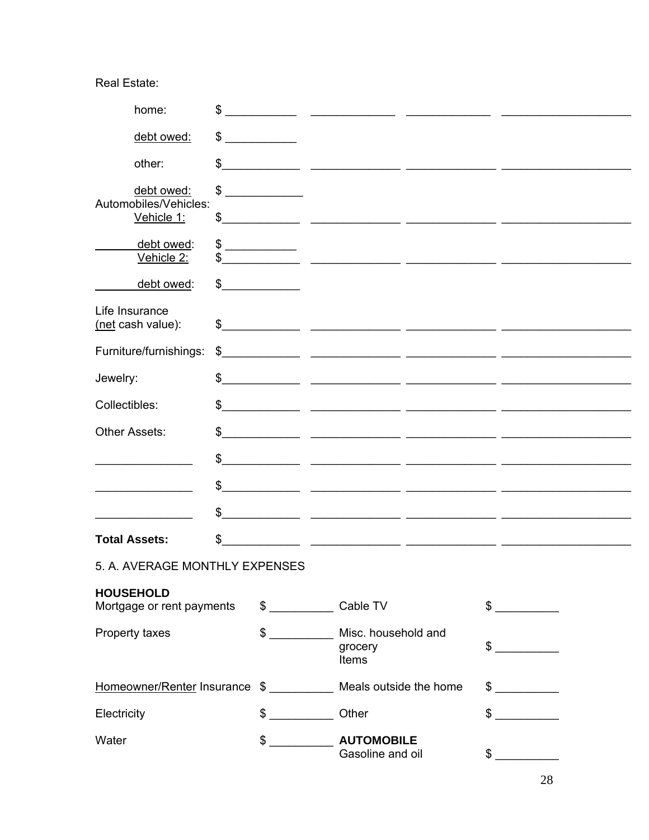# Real Estate:

| home:                                         | \$                   |                                                                                                                       |               |
|-----------------------------------------------|----------------------|-----------------------------------------------------------------------------------------------------------------------|---------------|
| debt owed:                                    | $\frac{1}{\sqrt{2}}$ |                                                                                                                       |               |
| other:                                        | \$                   |                                                                                                                       |               |
| debt owed:<br>Automobiles/Vehicles:           | $\frac{1}{\sqrt{2}}$ |                                                                                                                       |               |
| Vehicle 1:                                    |                      |                                                                                                                       |               |
| debt owed:<br>Vehicle 2:                      | $\frac{1}{2}$        | <u> 1989 - Jan James James, martin amerikan bahasa perangan perangan perangan perangan perangan perangan perangan</u> |               |
| debt owed:                                    | \$                   |                                                                                                                       |               |
| Life Insurance<br>(net cash value):           |                      |                                                                                                                       |               |
| Furniture/furnishings:                        | $\mathfrak{S}$       | <u> 1989 - Jan James James, amerikansk politiker (d. 1989)</u>                                                        |               |
| Jewelry:                                      |                      | $\frac{1}{2}$                                                                                                         |               |
| Collectibles:                                 | \$                   | <u> 2000 - 2000 - 2000 - 2000 - 2000 - 2000 - 2000 - 2000 - 2000 - 2000 - 2000 - 2000 - 2000 - 2000 - 2000 - 200</u>  |               |
| <b>Other Assets:</b>                          | \$                   |                                                                                                                       |               |
|                                               | \$                   | <u> 1990 - Jan James James, martin amerikan basar dan berasal dalam basa dalam basa dalam basa dalam basa dalam b</u> |               |
|                                               | \$                   | <u> 1999 - Jan James James, maria (h. 1989).</u>                                                                      |               |
|                                               | \$                   |                                                                                                                       |               |
| <b>Total Assets:</b>                          | \$                   | <u> 1989 - Jan James, maria eta indonesiar eta mondo eta indonesia eta indonesia eta indonesia eta indonesia eta</u>  |               |
| 5. A. AVERAGE MONTHLY EXPENSES                |                      |                                                                                                                       |               |
| <b>HOUSEHOLD</b><br>Mortgage or rent payments |                      | \$ Cable TV                                                                                                           | \$            |
| $\frac{1}{2}$<br>Property taxes               |                      | Misc. household and<br>grocery<br>Items                                                                               | \$            |
|                                               |                      | Homeowner/Renter Insurance \$ ___________ Meals outside the home                                                      | $\frac{1}{2}$ |
| Electricity                                   | $\sim$               | Other                                                                                                                 | $\sim$        |
| Water<br>$$\overbrace{\hspace{2.5cm}}$        |                      | <b>AUTOMOBILE</b><br>Gasoline and oil                                                                                 | $\frac{1}{2}$ |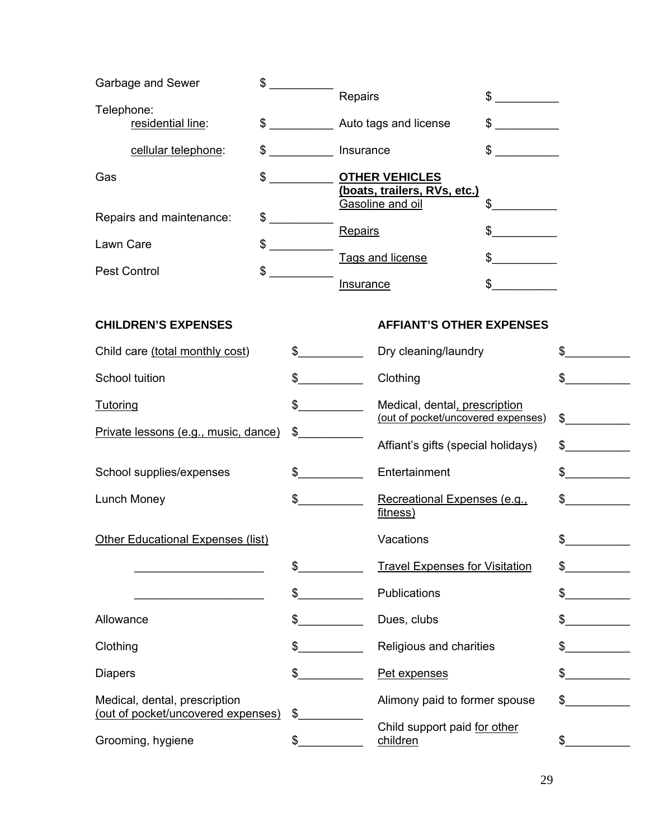| Garbage and Sewer                                                   | $$\overbrace{\hspace{2.5cm}}$ |               |                  |                                                       |                                                         |               |
|---------------------------------------------------------------------|-------------------------------|---------------|------------------|-------------------------------------------------------|---------------------------------------------------------|---------------|
| Telephone:<br>residential line:                                     | $\sim$                        |               | Repairs          | Auto tags and license                                 | $\frac{1}{2}$<br>\$<br><u> 1999 - Johann Barnett, f</u> |               |
|                                                                     |                               |               |                  |                                                       |                                                         |               |
| cellular telephone:<br>\$                                           |                               |               | Insurance        |                                                       | \$                                                      |               |
| Gas                                                                 | $\frac{1}{2}$                 |               |                  | <b>OTHER VEHICLES</b><br>(boats, trailers, RVs, etc.) |                                                         |               |
| Repairs and maintenance:<br>$\mathfrak{S}$                          |                               |               |                  | Gasoline and oil                                      | $\frac{1}{2}$                                           |               |
|                                                                     |                               |               | Repairs          |                                                       | \$                                                      |               |
| \$<br>Lawn Care                                                     |                               |               |                  | Tags and license                                      |                                                         |               |
| \$<br><b>Pest Control</b>                                           |                               |               | <b>Insurance</b> |                                                       |                                                         |               |
|                                                                     |                               |               |                  |                                                       |                                                         |               |
| <b>CHILDREN'S EXPENSES</b>                                          |                               |               |                  | <b>AFFIANT'S OTHER EXPENSES</b>                       |                                                         |               |
| Child care (total monthly cost)                                     |                               | $\sim$        |                  | Dry cleaning/laundry                                  |                                                         | \$            |
| School tuition                                                      |                               | $\sim$        |                  | Clothing                                              |                                                         |               |
| <b>Tutoring</b>                                                     |                               | $\sim$        |                  | Medical, dental, prescription                         |                                                         |               |
| Private lessons (e.g., music, dance)                                | \$                            |               |                  | (out of pocket/uncovered expenses)                    |                                                         | \$            |
|                                                                     |                               |               |                  | Affiant's gifts (special holidays)                    |                                                         | $\frac{1}{2}$ |
| School supplies/expenses                                            |                               | $\sim$        |                  | Entertainment                                         |                                                         | $\sim$        |
| Lunch Money                                                         |                               | $\frac{1}{2}$ |                  | Recreational Expenses (e.g.,<br>fitness)              |                                                         |               |
| <b>Other Educational Expenses (list)</b>                            |                               |               |                  | Vacations                                             |                                                         | \$            |
|                                                                     | \$                            |               |                  | <b>Travel Expenses for Visitation</b>                 |                                                         | \$            |
|                                                                     | \$                            |               |                  | Publications                                          |                                                         | \$            |
| Allowance                                                           | \$                            |               |                  | Dues, clubs                                           |                                                         |               |
| Clothing                                                            | \$                            |               |                  | Religious and charities                               |                                                         |               |
| <b>Diapers</b>                                                      | \$                            |               |                  | Pet expenses                                          |                                                         |               |
| Medical, dental, prescription<br>(out of pocket/uncovered expenses) | \$                            |               |                  | Alimony paid to former spouse                         |                                                         | \$            |
| Grooming, hygiene                                                   | \$                            |               |                  | Child support paid for other<br>children              |                                                         | \$            |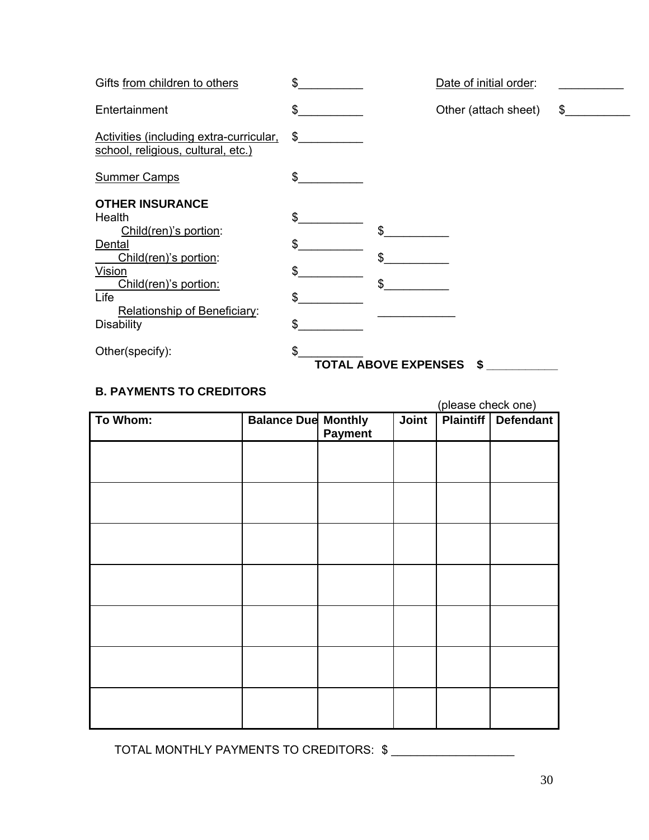| Gifts from children to others                                                                                                                                                                | \$                         | Date of initial order:            |    |
|----------------------------------------------------------------------------------------------------------------------------------------------------------------------------------------------|----------------------------|-----------------------------------|----|
| Entertainment                                                                                                                                                                                | \$                         | Other (attach sheet)              | \$ |
| Activities (including extra-curricular,<br>school, religious, cultural, etc.)                                                                                                                | \$                         |                                   |    |
| <b>Summer Camps</b>                                                                                                                                                                          | \$                         |                                   |    |
| <b>OTHER INSURANCE</b><br>Health<br>Child(ren)'s portion:<br>Dental<br>Child(ren)'s portion:<br>Vision<br>Child(ren)'s portion:<br>Life<br>Relationship of Beneficiary:<br><b>Disability</b> | \$<br>\$<br>\$<br>\$<br>\$ | \$<br>\$<br>\$                    |    |
| Other(specify):                                                                                                                                                                              | \$                         | <b>TOTAL ABOVE EXPENSES</b><br>\$ |    |

# **B. PAYMENTS TO CREDITORS**

(please check one)

| Payment | Joint                      | <b>Plaintiff</b> Defendant |
|---------|----------------------------|----------------------------|
|         |                            |                            |
|         |                            |                            |
|         |                            |                            |
|         |                            |                            |
|         |                            |                            |
|         |                            |                            |
|         |                            |                            |
|         |                            |                            |
|         | <b>Balance Due Monthly</b> |                            |

TOTAL MONTHLY PAYMENTS TO CREDITORS:  $\frac{1}{2}$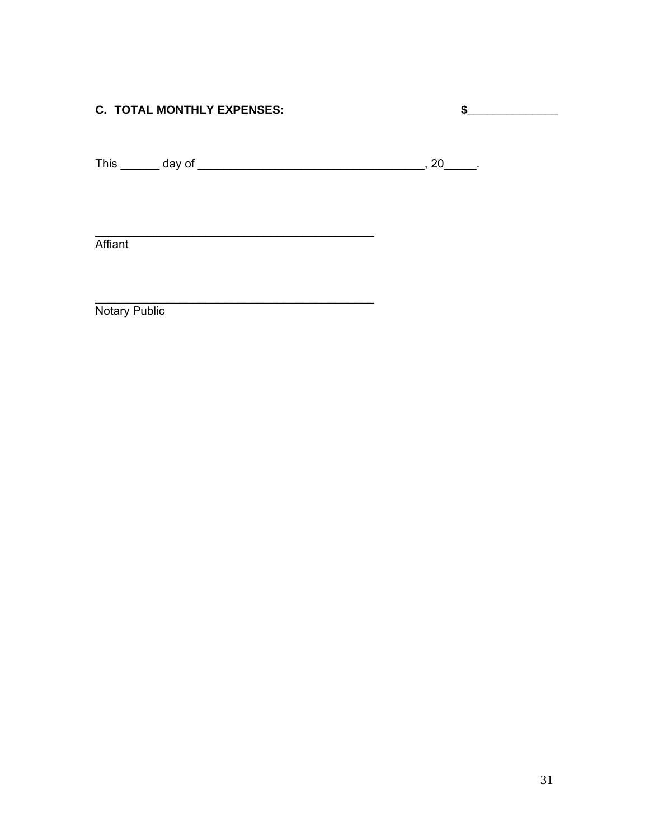# **C. TOTAL MONTHLY EXPENSES:**

<u> 1989 - Johann Barn, mars ann an t-Amhain an t-Amhain an t-Amhain an t-Amhain an t-Amhain an t-Amhain an t-A</u>

<u> 1989 - Johann Harry Harry Harry Harry Harry Harry Harry Harry Harry Harry Harry Harry Harry Harry Harry Harry</u>

Affiant

Notary Public

 $\frac{1}{2}$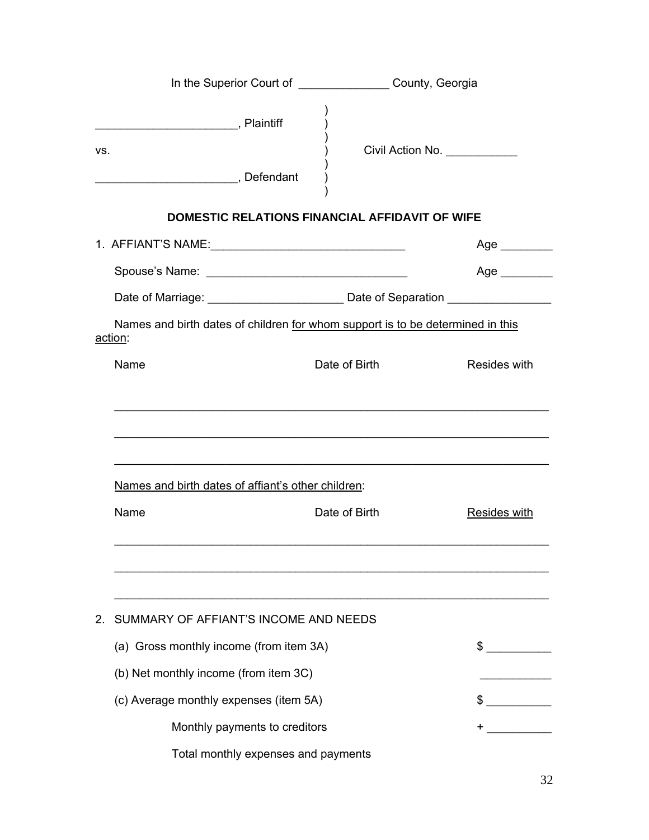|                                                    |                                                                                | In the Superior Court of ___________________ County, Georgia |  |  |  |
|----------------------------------------------------|--------------------------------------------------------------------------------|--------------------------------------------------------------|--|--|--|
| Plaintiff<br>VS.<br>Defendant                      |                                                                                | Civil Action No. ____________                                |  |  |  |
|                                                    | <b>DOMESTIC RELATIONS FINANCIAL AFFIDAVIT OF WIFE</b>                          |                                                              |  |  |  |
|                                                    |                                                                                | Age                                                          |  |  |  |
|                                                    |                                                                                | Age                                                          |  |  |  |
|                                                    |                                                                                |                                                              |  |  |  |
| action:                                            | Names and birth dates of children for whom support is to be determined in this |                                                              |  |  |  |
| Name                                               | Date of Birth                                                                  | Resides with                                                 |  |  |  |
| Names and birth dates of affiant's other children: |                                                                                |                                                              |  |  |  |
| Name                                               | Date of Birth                                                                  | <b>Resides with</b>                                          |  |  |  |
| SUMMARY OF AFFIANT'S INCOME AND NEEDS<br>2.        |                                                                                |                                                              |  |  |  |
| (a) Gross monthly income (from item 3A)            |                                                                                | $\sim$                                                       |  |  |  |
| (b) Net monthly income (from item 3C)              |                                                                                |                                                              |  |  |  |
| (c) Average monthly expenses (item 5A)             |                                                                                | \$                                                           |  |  |  |
|                                                    | Monthly payments to creditors                                                  |                                                              |  |  |  |
|                                                    | Total monthly expenses and payments                                            |                                                              |  |  |  |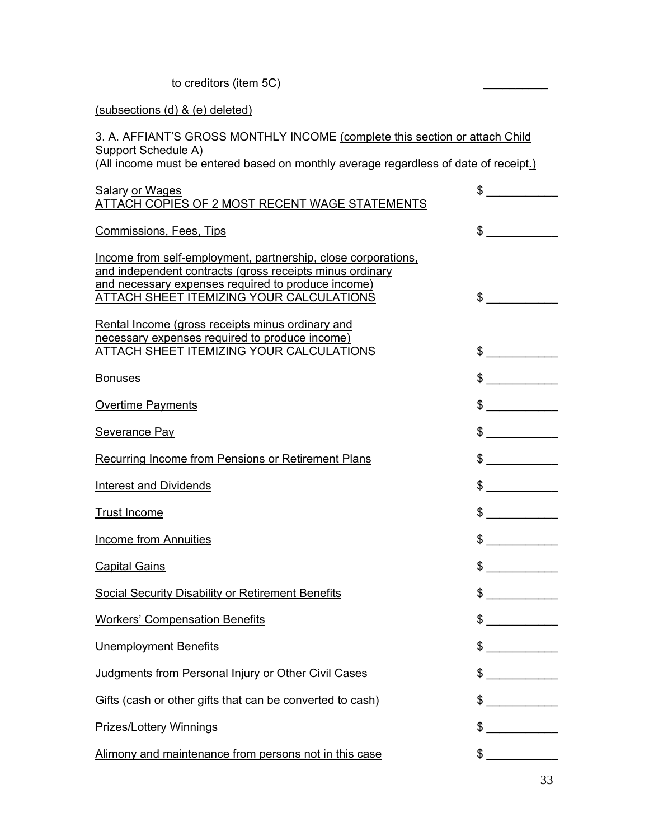to creditors (item 5C)

### (subsections (d) & (e) deleted)

### 3. A. AFFIANT'S GROSS MONTHLY INCOME (complete this section or attach Child Support Schedule A)

(All income must be entered based on monthly average regardless of date of receipt.)

| Salary or Wages<br>ATTACH COPIES OF 2 MOST RECENT WAGE STATEMENTS                                                                                                                                                                  | \$                       |
|------------------------------------------------------------------------------------------------------------------------------------------------------------------------------------------------------------------------------------|--------------------------|
| <b>Commissions, Fees, Tips</b>                                                                                                                                                                                                     | \$                       |
| Income from self-employment, partnership, close corporations,<br>and independent contracts (gross receipts minus ordinary<br>and necessary expenses required to produce income)<br><b>ATTACH SHEET ITEMIZING YOUR CALCULATIONS</b> | $\sim$                   |
| Rental Income (gross receipts minus ordinary and<br>necessary expenses required to produce income)<br>ATTACH SHEET ITEMIZING YOUR CALCULATIONS                                                                                     | $\frac{1}{2}$            |
| <b>Bonuses</b>                                                                                                                                                                                                                     | $\frac{1}{2}$            |
| <b>Overtime Payments</b>                                                                                                                                                                                                           | $\frac{1}{2}$            |
| <b>Severance Pay</b>                                                                                                                                                                                                               | $\frac{1}{2}$            |
| <b>Recurring Income from Pensions or Retirement Plans</b>                                                                                                                                                                          | $\frac{1}{2}$            |
| <b>Interest and Dividends</b>                                                                                                                                                                                                      | $\frac{1}{2}$            |
| <b>Trust Income</b>                                                                                                                                                                                                                | $\frac{1}{2}$            |
| <b>Income from Annuities</b>                                                                                                                                                                                                       | $\frac{1}{2}$            |
| <b>Capital Gains</b>                                                                                                                                                                                                               | $\frac{1}{2}$            |
| <b>Social Security Disability or Retirement Benefits</b>                                                                                                                                                                           | $\frac{1}{2}$            |
| <b>Workers' Compensation Benefits</b>                                                                                                                                                                                              | $\frac{1}{2}$            |
| <b>Unemployment Benefits</b>                                                                                                                                                                                                       | \$                       |
| Judgments from Personal Injury or Other Civil Cases                                                                                                                                                                                | $\overline{\phantom{a}}$ |
| Gifts (cash or other gifts that can be converted to cash)                                                                                                                                                                          | \$                       |
| Prizes/Lottery Winnings                                                                                                                                                                                                            | \$                       |
| Alimony and maintenance from persons not in this case                                                                                                                                                                              | \$                       |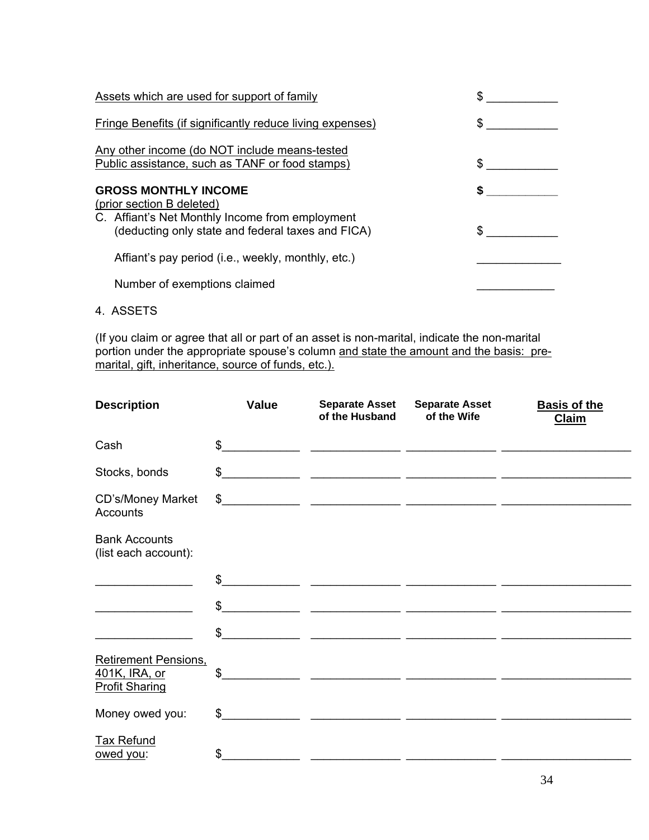| Assets which are used for support of family                                                                                                                      |  |
|------------------------------------------------------------------------------------------------------------------------------------------------------------------|--|
| Fringe Benefits (if significantly reduce living expenses)                                                                                                        |  |
| Any other income (do NOT include means-tested<br>Public assistance, such as TANF or food stamps)                                                                 |  |
| <b>GROSS MONTHLY INCOME</b><br>(prior section B deleted)<br>C. Affiant's Net Monthly Income from employment<br>(deducting only state and federal taxes and FICA) |  |
| Affiant's pay period (i.e., weekly, monthly, etc.)                                                                                                               |  |
| Number of exemptions claimed                                                                                                                                     |  |

4. ASSETS

(If you claim or agree that all or part of an asset is non-marital, indicate the non-marital portion under the appropriate spouse's column and state the amount and the basis: premarital, gift, inheritance, source of funds, etc.).

| <b>Description</b>                           | Value          | <b>Separate Asset</b><br>of the Husband                                                                                                                                                                                              | <b>Separate Asset</b><br>of the Wife | <b>Basis of the</b><br><b>Claim</b> |
|----------------------------------------------|----------------|--------------------------------------------------------------------------------------------------------------------------------------------------------------------------------------------------------------------------------------|--------------------------------------|-------------------------------------|
| Cash                                         | \$             | <u> 2000 - John Stein, Amerikaansk politiker (* 1900)</u>                                                                                                                                                                            |                                      |                                     |
| Stocks, bonds                                | $\mathbb{S}$   |                                                                                                                                                                                                                                      |                                      |                                     |
| CD's/Money Market<br><b>Accounts</b>         | $\mathfrak{S}$ |                                                                                                                                                                                                                                      |                                      |                                     |
| <b>Bank Accounts</b><br>(list each account): |                |                                                                                                                                                                                                                                      |                                      |                                     |
|                                              | $\mathsf{\$}$  | <u> 1990 - John Stoff, amerikansk politiker (d. 1980)</u>                                                                                                                                                                            |                                      |                                     |
|                                              | \$             | <u> 1988</u> - <u>Johann Harry Hermann, mars et al. (</u>                                                                                                                                                                            |                                      |                                     |
|                                              | $\frac{1}{2}$  | <u> 1989 - Jan James James, martin amerikan basar dan berasarkan perangan bagian dalam bagian dalam bagian dalam</u>                                                                                                                 |                                      |                                     |
| <b>Retirement Pensions.</b><br>401K, IRA, or | \$             | <u> 1989 - John Harrison, maritan amerikan bahasa dalam pengaran bahasa dalam pengaran bahasa dalam pengaran bahasa dalam pengaran bahasa dalam pengaran bahasa dalam pengaran bahasa dalam pengaran bahasa dalam pengaran bahas</u> |                                      |                                     |
| <b>Profit Sharing</b>                        |                |                                                                                                                                                                                                                                      |                                      |                                     |
| Money owed you:                              | \$             |                                                                                                                                                                                                                                      |                                      |                                     |
| <b>Tax Refund</b><br>owed you:               | \$             |                                                                                                                                                                                                                                      |                                      |                                     |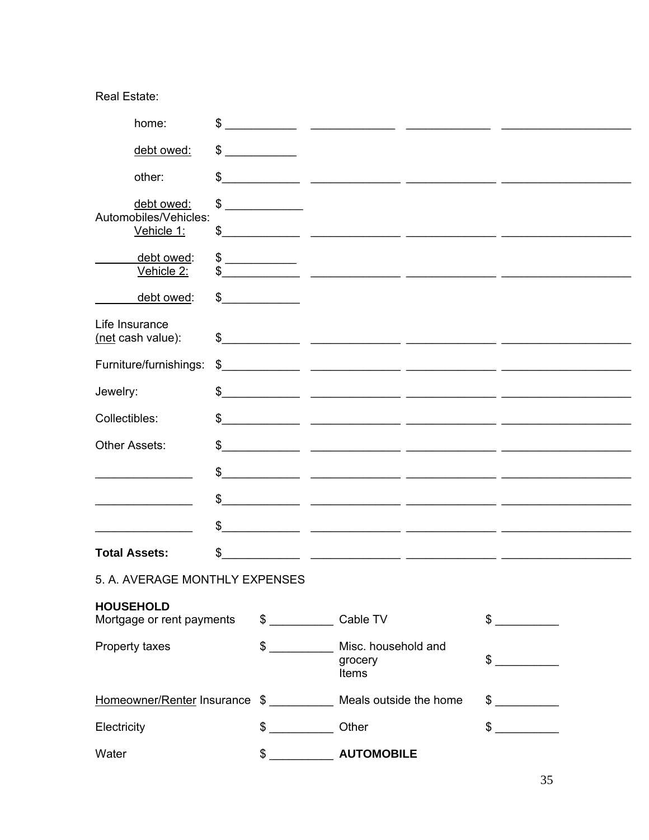# Real Estate:

|               | home:                                                           | \$  |                                                                                                                                                                                                                                      |                                                                                                                        |              |               |  |
|---------------|-----------------------------------------------------------------|-----|--------------------------------------------------------------------------------------------------------------------------------------------------------------------------------------------------------------------------------------|------------------------------------------------------------------------------------------------------------------------|--------------|---------------|--|
|               | debt owed:                                                      |     | $\frac{1}{\sqrt{2}}$                                                                                                                                                                                                                 |                                                                                                                        |              |               |  |
|               | other:                                                          | \$  |                                                                                                                                                                                                                                      |                                                                                                                        |              |               |  |
|               | debt owed:<br>Automobiles/Vehicles:                             | \$  | <u> 1980 - Jan Stein Stein Stein Stein Stein Stein Stein Stein Stein Stein Stein Stein Stein Stein Stein Stein Stein Stein Stein Stein Stein Stein Stein Stein Stein Stein Stein Stein Stein Stein Stein Stein Stein Stein Stein</u> |                                                                                                                        |              |               |  |
|               | Vehicle 1:                                                      | \$  |                                                                                                                                                                                                                                      | <u> 1989 - Jan James James Barbara, martxa a shekara 1989 - 1981 - 1982 - 1982 - 1982 - 1982 - 1982 - 1982 - 198</u>   |              |               |  |
|               | debt owed:<br>Vehicle 2:                                        |     | $\frac{1}{2}$                                                                                                                                                                                                                        |                                                                                                                        |              |               |  |
|               | debt owed:                                                      | \$  |                                                                                                                                                                                                                                      |                                                                                                                        |              |               |  |
|               | Life Insurance<br>(net cash value):                             |     |                                                                                                                                                                                                                                      |                                                                                                                        |              |               |  |
|               | Furniture/furnishings:                                          |     |                                                                                                                                                                                                                                      | $\frac{1}{2}$                                                                                                          |              |               |  |
| Jewelry:      |                                                                 |     |                                                                                                                                                                                                                                      | $\frac{1}{2}$                                                                                                          |              |               |  |
| Collectibles: |                                                                 | \$  |                                                                                                                                                                                                                                      |                                                                                                                        |              |               |  |
|               | <b>Other Assets:</b>                                            | \$  |                                                                                                                                                                                                                                      |                                                                                                                        |              |               |  |
|               |                                                                 | \$  |                                                                                                                                                                                                                                      | <u> 1990 - John Harry John Harry Harry Harry Harry Harry Harry Harry Harry Harry Harry Harry Harry Harry Harry Har</u> |              |               |  |
|               |                                                                 | \$  |                                                                                                                                                                                                                                      |                                                                                                                        |              |               |  |
|               |                                                                 | \$  |                                                                                                                                                                                                                                      | <u> 1999 - Jan James James, politik eta politik eta politikaria (h. 1918).</u>                                         |              |               |  |
|               | <b>Total Assets:</b>                                            | \$. |                                                                                                                                                                                                                                      |                                                                                                                        |              |               |  |
|               | 5. A. AVERAGE MONTHLY EXPENSES                                  |     |                                                                                                                                                                                                                                      |                                                                                                                        |              |               |  |
|               | <b>HOUSEHOLD</b><br>Mortgage or rent payments                   |     |                                                                                                                                                                                                                                      | \$ Cable TV                                                                                                            | $\mathbb{S}$ |               |  |
|               | Property taxes                                                  |     | $$\overbrace{\hspace{2.5cm}}$                                                                                                                                                                                                        | Misc. household and<br>grocery<br>Items                                                                                |              | $\frac{1}{2}$ |  |
|               | Homeowner/Renter Insurance \$ __________ Meals outside the home |     |                                                                                                                                                                                                                                      |                                                                                                                        | \$           |               |  |
| Electricity   |                                                                 |     | $\sim$                                                                                                                                                                                                                               | Other                                                                                                                  |              | $\sim$        |  |
| Water         |                                                                 |     |                                                                                                                                                                                                                                      | \$ _____________ AUTOMOBILE                                                                                            |              |               |  |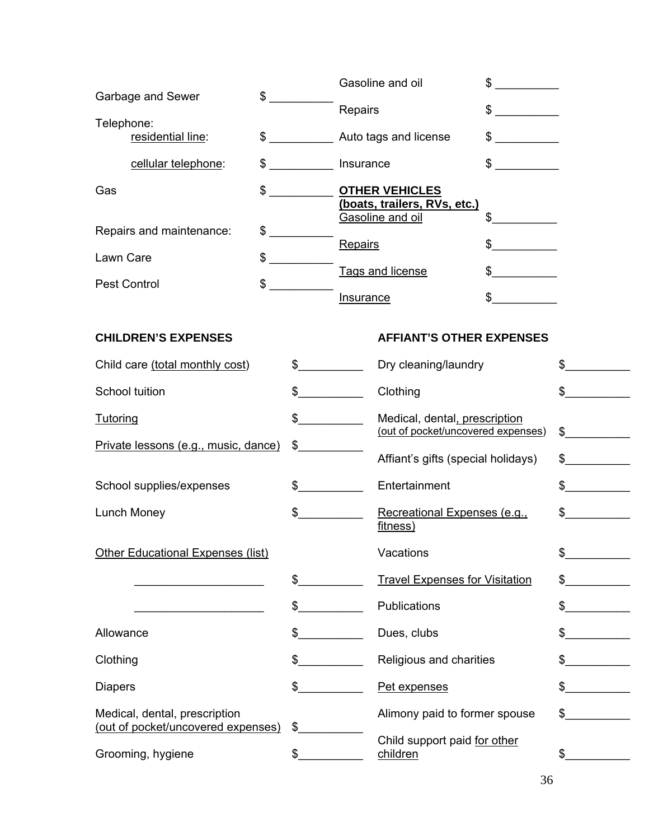| \$<br>Garbage and Sewer                                             |               |                      |                  | Gasoline and oil                                                          | $\mathbb S$   |               |
|---------------------------------------------------------------------|---------------|----------------------|------------------|---------------------------------------------------------------------------|---------------|---------------|
|                                                                     |               |                      | Repairs          |                                                                           | $\frac{1}{2}$ |               |
| Telephone:<br>residential line:                                     |               |                      |                  | \$ _______________ Auto tags and license                                  | $\frac{1}{2}$ |               |
| cellular telephone:                                                 |               | $\sim$               | Insurance        |                                                                           | \$            |               |
| Gas                                                                 | $\frac{1}{2}$ |                      |                  | <b>OTHER VEHICLES</b><br>(boats, trailers, RVs, etc.)<br>Gasoline and oil | \$            |               |
| Repairs and maintenance:                                            |               | $\sim$               |                  |                                                                           |               |               |
| \$<br>Lawn Care                                                     |               |                      | Repairs          |                                                                           | \$            |               |
| \$<br><b>Pest Control</b>                                           |               |                      |                  | Tags and license                                                          |               |               |
|                                                                     |               |                      | <b>Insurance</b> |                                                                           |               |               |
| <b>CHILDREN'S EXPENSES</b>                                          |               |                      |                  | <b>AFFIANT'S OTHER EXPENSES</b>                                           |               |               |
| Child care (total monthly cost)                                     |               | $\frac{1}{2}$        |                  | Dry cleaning/laundry                                                      |               | \$            |
| School tuition                                                      |               | $\frac{1}{2}$        |                  | Clothing                                                                  |               | \$            |
| <b>Tutoring</b>                                                     |               | $\sim$               |                  | Medical, dental, prescription<br>(out of pocket/uncovered expenses)       |               | $\frac{1}{2}$ |
| Private lessons (e.g., music, dance)                                |               | \$                   |                  |                                                                           |               |               |
|                                                                     |               |                      |                  | Affiant's gifts (special holidays)                                        |               | $\frac{1}{2}$ |
| School supplies/expenses                                            |               | $\frac{1}{\sqrt{2}}$ |                  | Entertainment                                                             |               | $\sim$        |
| Lunch Money                                                         |               | $\frac{1}{2}$        |                  | Recreational Expenses (e.g.,<br>fitness)                                  |               | \$            |
| Other Educational Expenses (list)                                   |               |                      |                  | Vacations                                                                 |               | $\frac{1}{2}$ |
|                                                                     |               | \$                   |                  | <b>Travel Expenses for Visitation</b>                                     |               | \$            |
|                                                                     |               | $\frac{1}{2}$        |                  | Publications                                                              |               | \$            |
| Allowance                                                           |               | $\mathbb{S}$         |                  | Dues, clubs                                                               |               |               |
| Clothing                                                            |               | \$                   |                  | Religious and charities                                                   |               |               |
| <b>Diapers</b>                                                      |               | \$                   |                  | Pet expenses                                                              |               |               |
| Medical, dental, prescription<br>(out of pocket/uncovered expenses) |               | \$                   |                  | Alimony paid to former spouse                                             |               | $\mathbb{S}$  |
| Grooming, hygiene                                                   |               | $\frac{1}{2}$        |                  | Child support paid for other<br>children                                  |               | \$            |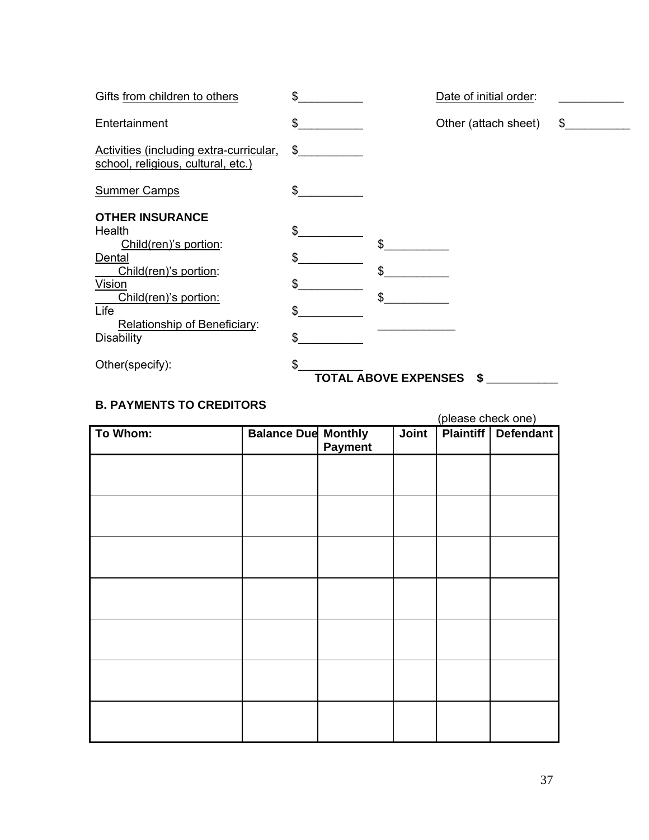| Gifts from children to others                                                                                                                                                                | \$                         |                             | Date of initial order: |    |
|----------------------------------------------------------------------------------------------------------------------------------------------------------------------------------------------|----------------------------|-----------------------------|------------------------|----|
| Entertainment                                                                                                                                                                                | \$                         |                             | Other (attach sheet)   | \$ |
| Activities (including extra-curricular,<br>school, religious, cultural, etc.)                                                                                                                | \$                         |                             |                        |    |
| <b>Summer Camps</b>                                                                                                                                                                          | \$                         |                             |                        |    |
| <b>OTHER INSURANCE</b><br>Health<br>Child(ren)'s portion:<br>Dental<br>Child(ren)'s portion:<br>Vision<br>Child(ren)'s portion:<br>Life<br>Relationship of Beneficiary:<br><b>Disability</b> | \$<br>\$<br>\$<br>\$<br>\$ | \$<br>\$<br>\$              |                        |    |
| Other(specify):                                                                                                                                                                              | \$                         | <b>TOTAL ABOVE EXPENSES</b> | \$                     |    |

# **B. PAYMENTS TO CREDITORS**

(please check one)

| To Whom: | <b>Balance Due Monthly</b> | <b>Payment</b> | Joint | w | <b>Plaintiff Defendant</b> |
|----------|----------------------------|----------------|-------|---|----------------------------|
|          |                            |                |       |   |                            |
|          |                            |                |       |   |                            |
|          |                            |                |       |   |                            |
|          |                            |                |       |   |                            |
|          |                            |                |       |   |                            |
|          |                            |                |       |   |                            |
|          |                            |                |       |   |                            |
|          |                            |                |       |   |                            |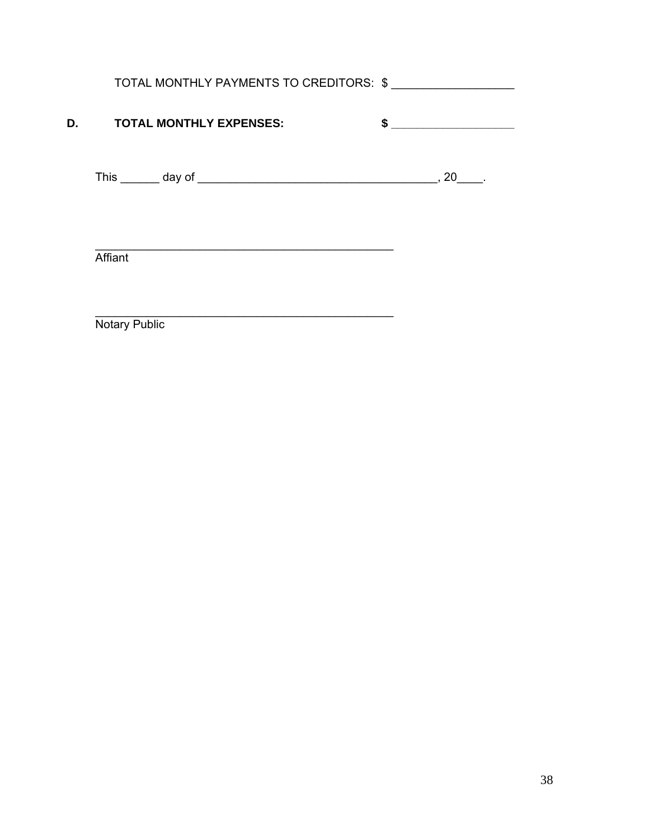|      | TOTAL MONTHLY PAYMENTS TO CREDITORS: \$ |           |
|------|-----------------------------------------|-----------|
| D. D | <b>TOTAL MONTHLY EXPENSES:</b>          | <b>\$</b> |
|      |                                         | 20 .      |
|      |                                         |           |
|      | Affiant                                 |           |

\_\_\_\_\_\_\_\_\_\_\_\_\_\_\_\_\_\_\_\_\_\_\_\_\_\_\_\_\_\_\_\_\_\_\_\_\_\_\_\_\_\_\_\_\_\_ Notary Public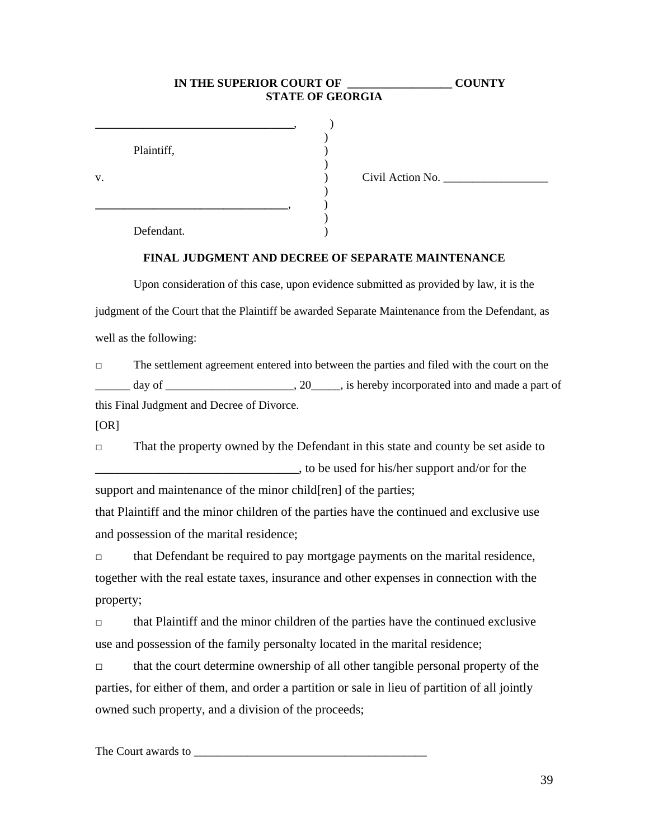### **IN THE SUPERIOR COURT OF**  $\qquad$  **COUNTY STATE OF GEORGIA \_\_\_\_\_\_\_\_\_\_\_\_\_\_\_\_\_\_\_\_\_\_\_\_\_\_\_\_\_\_\_\_\_\_**, )  $)$ Plaintiff,  $\qquad \qquad$  )  $)$ v. ) Civil Action No. \_\_\_\_\_\_\_\_\_\_\_\_\_\_\_\_\_\_  $)$ **\_\_\_\_\_\_\_\_\_\_\_\_\_\_\_\_\_\_\_\_\_\_\_\_\_\_\_\_\_\_\_\_\_**, )  $)$ Defendant.

#### **FINAL JUDGMENT AND DECREE OF SEPARATE MAINTENANCE**

Upon consideration of this case, upon evidence submitted as provided by law, it is the judgment of the Court that the Plaintiff be awarded Separate Maintenance from the Defendant, as well as the following:

□ The settlement agreement entered into between the parties and filed with the court on the day of  $\frac{1}{\sqrt{2}}$ , 20, is hereby incorporated into and made a part of this Final Judgment and Decree of Divorce.

[OR]

□ That the property owned by the Defendant in this state and county be set aside to \_\_\_\_\_\_\_\_\_\_\_\_\_\_\_\_\_\_\_\_\_\_\_\_\_\_\_\_\_\_\_\_, to be used for his/her support and/or for the

support and maintenance of the minor child[ren] of the parties;

that Plaintiff and the minor children of the parties have the continued and exclusive use and possession of the marital residence;

□ that Defendant be required to pay mortgage payments on the marital residence, together with the real estate taxes, insurance and other expenses in connection with the property;

□ that Plaintiff and the minor children of the parties have the continued exclusive use and possession of the family personalty located in the marital residence;

□ that the court determine ownership of all other tangible personal property of the parties, for either of them, and order a partition or sale in lieu of partition of all jointly owned such property, and a division of the proceeds;

The Court awards to \_\_\_\_\_\_\_\_\_\_\_\_\_\_\_\_\_\_\_\_\_\_\_\_\_\_\_\_\_\_\_\_\_\_\_\_\_\_\_\_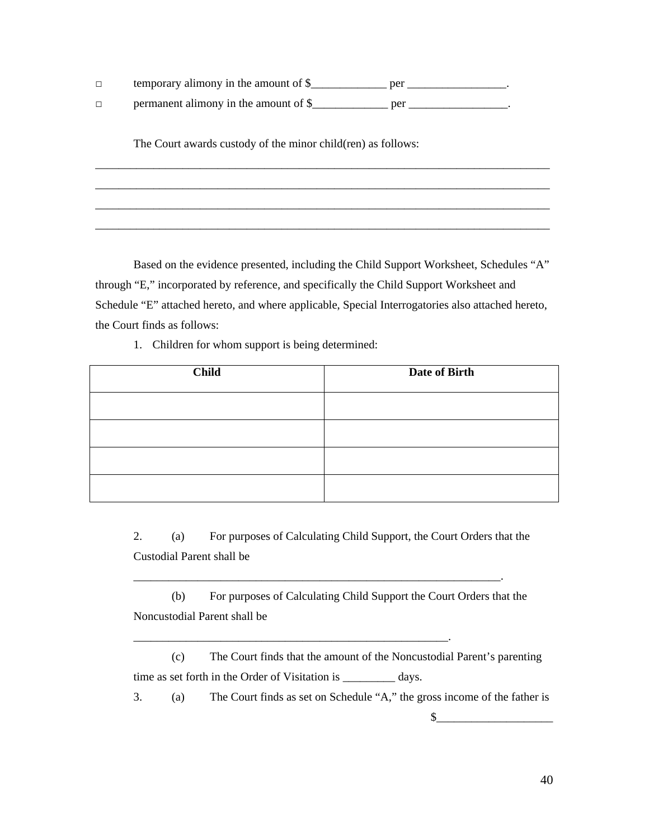- □ temporary alimony in the amount of \$\_\_\_\_\_\_\_\_\_\_\_\_\_\_\_ per \_\_\_\_\_\_\_\_\_\_\_\_\_\_\_\_.
- □ permanent alimony in the amount of \$\_\_\_\_\_\_\_\_\_\_\_\_\_\_ per \_\_\_\_\_\_\_\_\_\_\_\_\_\_\_.

The Court awards custody of the minor child(ren) as follows:

Based on the evidence presented, including the Child Support Worksheet, Schedules "A" through "E," incorporated by reference, and specifically the Child Support Worksheet and Schedule "E" attached hereto, and where applicable, Special Interrogatories also attached hereto, the Court finds as follows:

\_\_\_\_\_\_\_\_\_\_\_\_\_\_\_\_\_\_\_\_\_\_\_\_\_\_\_\_\_\_\_\_\_\_\_\_\_\_\_\_\_\_\_\_\_\_\_\_\_\_\_\_\_\_\_\_\_\_\_\_\_\_\_\_\_\_\_\_\_\_\_\_\_\_\_\_\_\_ \_\_\_\_\_\_\_\_\_\_\_\_\_\_\_\_\_\_\_\_\_\_\_\_\_\_\_\_\_\_\_\_\_\_\_\_\_\_\_\_\_\_\_\_\_\_\_\_\_\_\_\_\_\_\_\_\_\_\_\_\_\_\_\_\_\_\_\_\_\_\_\_\_\_\_\_\_\_ \_\_\_\_\_\_\_\_\_\_\_\_\_\_\_\_\_\_\_\_\_\_\_\_\_\_\_\_\_\_\_\_\_\_\_\_\_\_\_\_\_\_\_\_\_\_\_\_\_\_\_\_\_\_\_\_\_\_\_\_\_\_\_\_\_\_\_\_\_\_\_\_\_\_\_\_\_\_ \_\_\_\_\_\_\_\_\_\_\_\_\_\_\_\_\_\_\_\_\_\_\_\_\_\_\_\_\_\_\_\_\_\_\_\_\_\_\_\_\_\_\_\_\_\_\_\_\_\_\_\_\_\_\_\_\_\_\_\_\_\_\_\_\_\_\_\_\_\_\_\_\_\_\_\_\_\_

1. Children for whom support is being determined:

| <b>Child</b> | Date of Birth |  |  |
|--------------|---------------|--|--|
|              |               |  |  |
|              |               |  |  |
|              |               |  |  |
|              |               |  |  |

2. (a) For purposes of Calculating Child Support, the Court Orders that the Custodial Parent shall be

(b) For purposes of Calculating Child Support the Court Orders that the Noncustodial Parent shall be

\_\_\_\_\_\_\_\_\_\_\_\_\_\_\_\_\_\_\_\_\_\_\_\_\_\_\_\_\_\_\_\_\_\_\_\_\_\_\_\_\_\_\_\_\_\_\_\_\_\_\_\_\_\_\_\_\_\_\_\_\_\_\_.

\_\_\_\_\_\_\_\_\_\_\_\_\_\_\_\_\_\_\_\_\_\_\_\_\_\_\_\_\_\_\_\_\_\_\_\_\_\_\_\_\_\_\_\_\_\_\_\_\_\_\_\_\_\_.

(c) The Court finds that the amount of the Noncustodial Parent's parenting time as set forth in the Order of Visitation is \_\_\_\_\_\_\_\_\_ days.

3. (a) The Court finds as set on Schedule "A," the gross income of the father is  $\frac{\frac{1}{2}$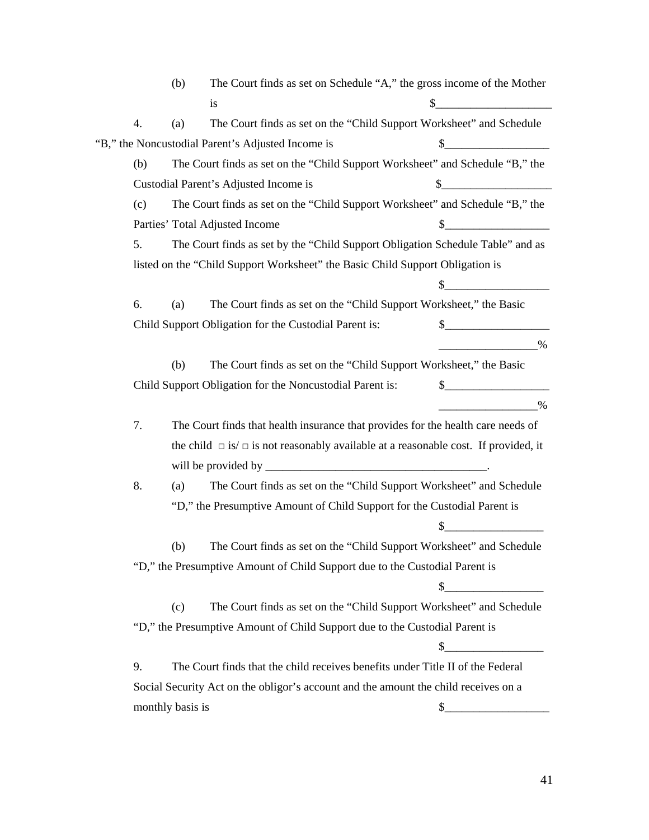(b) The Court finds as set on Schedule "A," the gross income of the Mother is  $\frac{1}{2}$  is  $\frac{1}{2}$  is  $\frac{1}{2}$  is  $\frac{1}{2}$  is  $\frac{1}{2}$  is  $\frac{1}{2}$  is  $\frac{1}{2}$  is  $\frac{1}{2}$  is  $\frac{1}{2}$  is  $\frac{1}{2}$  is  $\frac{1}{2}$  is  $\frac{1}{2}$  is  $\frac{1}{2}$  is  $\frac{1}{2}$  is  $\frac{1}{2}$  is  $\frac{1}{2}$  is  $\frac{1}{2}$  4. (a) The Court finds as set on the "Child Support Worksheet" and Schedule "B," the Noncustodial Parent's Adjusted Income is  $\qquad \qquad \$ (b) The Court finds as set on the "Child Support Worksheet" and Schedule "B," the Custodial Parent's Adjusted Income is  $\qquad \qquad \$ (c) The Court finds as set on the "Child Support Worksheet" and Schedule "B," the Parties' Total Adjusted Income \$ 5. The Court finds as set by the "Child Support Obligation Schedule Table" and as listed on the "Child Support Worksheet" the Basic Child Support Obligation is  $\frac{1}{2}$   $\frac{1}{2}$   $\frac{1}{2}$   $\frac{1}{2}$   $\frac{1}{2}$   $\frac{1}{2}$   $\frac{1}{2}$   $\frac{1}{2}$   $\frac{1}{2}$   $\frac{1}{2}$   $\frac{1}{2}$   $\frac{1}{2}$   $\frac{1}{2}$   $\frac{1}{2}$   $\frac{1}{2}$   $\frac{1}{2}$   $\frac{1}{2}$   $\frac{1}{2}$   $\frac{1}{2}$   $\frac{1}{2}$   $\frac{1}{2}$   $\frac{1}{2}$  6. (a) The Court finds as set on the "Child Support Worksheet," the Basic Child Support Obligation for the Custodial Parent is:  $\$\$  \_\_\_\_\_\_\_\_\_\_\_\_\_\_\_\_\_% (b) The Court finds as set on the "Child Support Worksheet," the Basic Child Support Obligation for the Noncustodial Parent is:  $\qquad \qquad \}_{\qquad \qquad \ldots \qquad \qquad \ldots \qquad \ldots \qquad \ldots \qquad \ldots \qquad \ldots \qquad \ldots \qquad \ldots \qquad \ldots \qquad \ldots \qquad \ldots \qquad \ldots \qquad \ldots \qquad \ldots \qquad \ldots \qquad \ldots \qquad \ldots \qquad \ldots \qquad \ldots \qquad \ldots \qquad \ldots \qquad \ldots \qquad \ldots \qquad \ldots \qquad \ldots$  \_\_\_\_\_\_\_\_\_\_\_\_\_\_\_\_\_% 7. The Court finds that health insurance that provides for the health care needs of the child  $\Box$  is  $\Box$  is not reasonably available at a reasonable cost. If provided, it will be provided by \_\_\_\_\_\_\_\_\_\_\_\_\_\_\_\_\_\_\_\_\_\_\_\_\_\_\_\_\_\_\_\_\_\_\_\_\_\_. 8. (a) The Court finds as set on the "Child Support Worksheet" and Schedule "D," the Presumptive Amount of Child Support for the Custodial Parent is  $\frac{1}{2}$ (b) The Court finds as set on the "Child Support Worksheet" and Schedule "D," the Presumptive Amount of Child Support due to the Custodial Parent is \$\_\_\_\_\_\_\_\_\_\_\_\_\_\_\_\_\_ (c) The Court finds as set on the "Child Support Worksheet" and Schedule "D," the Presumptive Amount of Child Support due to the Custodial Parent is \$\_\_\_\_\_\_\_\_\_\_\_\_\_\_\_\_\_ 9. The Court finds that the child receives benefits under Title II of the Federal Social Security Act on the obligor's account and the amount the child receives on a monthly basis is  $\qquad$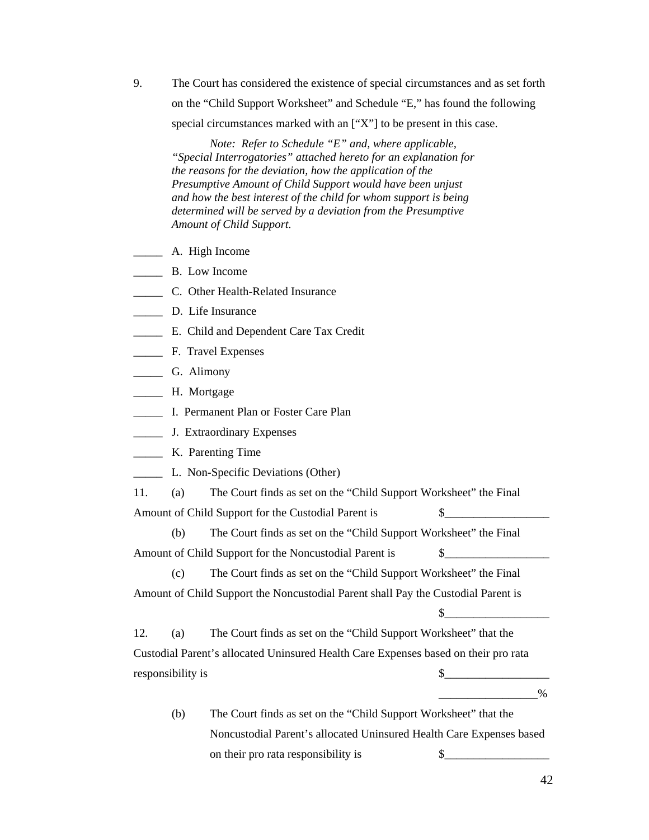9. The Court has considered the existence of special circumstances and as set forth on the "Child Support Worksheet" and Schedule "E," has found the following special circumstances marked with an ["X"] to be present in this case.

*Note: Refer to Schedule "E" and, where applicable, "Special Interrogatories" attached hereto for an explanation for the reasons for the deviation, how the application of the Presumptive Amount of Child Support would have been unjust and how the best interest of the child for whom support is being determined will be served by a deviation from the Presumptive Amount of Child Support.* 

- \_\_\_\_\_ A. High Income
- \_\_\_\_\_ B. Low Income
- \_\_\_\_\_ C. Other Health-Related Insurance
- \_\_\_\_\_ D. Life Insurance
- \_\_\_\_\_ E. Child and Dependent Care Tax Credit
- \_\_\_\_\_ F. Travel Expenses
- \_\_\_\_\_ G. Alimony
- \_\_\_\_\_ H. Mortgage
- \_\_\_\_\_ I. Permanent Plan or Foster Care Plan
- \_\_\_\_\_ J. Extraordinary Expenses
- \_\_\_\_\_ K. Parenting Time
- \_\_\_\_\_ L. Non-Specific Deviations (Other)

11. (a) The Court finds as set on the "Child Support Worksheet" the Final Amount of Child Support for the Custodial Parent is  $\qquad \qquad \$ 

(b) The Court finds as set on the "Child Support Worksheet" the Final Amount of Child Support for the Noncustodial Parent is  $\qquad \$ 

(c) The Court finds as set on the "Child Support Worksheet" the Final Amount of Child Support the Noncustodial Parent shall Pay the Custodial Parent is

12. (a) The Court finds as set on the "Child Support Worksheet" that the Custodial Parent's allocated Uninsured Health Care Expenses based on their pro rata responsibility is  $\frac{1}{2}$ 

\_\_\_\_\_\_\_\_\_\_\_\_\_\_\_\_\_%

 $\frac{1}{2}$ 

(b) The Court finds as set on the "Child Support Worksheet" that the Noncustodial Parent's allocated Uninsured Health Care Expenses based on their pro rata responsibility is  $\$\$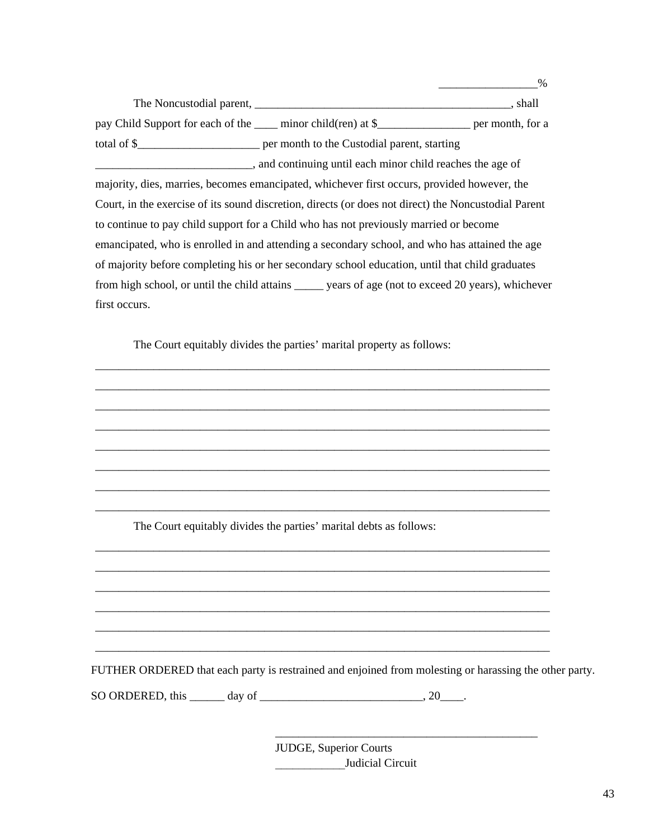The Noncustodial parent, \_\_\_\_\_\_\_\_\_\_\_\_\_\_\_\_\_\_\_\_\_\_\_\_\_\_\_\_\_\_\_\_\_\_\_\_\_\_\_\_\_\_\_\_, shall pay Child Support for each of the \_\_\_\_ minor child(ren) at \$\_\_\_\_\_\_\_\_\_\_\_\_\_\_\_\_\_\_ per month, for a total of \$\_\_\_\_\_\_\_\_\_\_\_\_\_\_\_\_\_\_\_\_\_ per month to the Custodial parent, starting \_\_\_\_\_\_\_\_\_\_\_\_\_\_\_\_\_\_\_\_\_\_\_\_\_\_\_, and continuing until each minor child reaches the age of majority, dies, marries, becomes emancipated, whichever first occurs, provided however, the Court, in the exercise of its sound discretion, directs (or does not direct) the Noncustodial Parent to continue to pay child support for a Child who has not previously married or become emancipated, who is enrolled in and attending a secondary school, and who has attained the age of majority before completing his or her secondary school education, until that child graduates from high school, or until the child attains \_\_\_\_\_ years of age (not to exceed 20 years), whichever first occurs.

\_\_\_\_\_\_\_\_\_\_\_\_\_\_\_\_\_\_\_\_\_\_\_\_\_\_\_\_\_\_\_\_\_\_\_\_\_\_\_\_\_\_\_\_\_\_\_\_\_\_\_\_\_\_\_\_\_\_\_\_\_\_\_\_\_\_\_\_\_\_\_\_\_\_\_\_\_\_ \_\_\_\_\_\_\_\_\_\_\_\_\_\_\_\_\_\_\_\_\_\_\_\_\_\_\_\_\_\_\_\_\_\_\_\_\_\_\_\_\_\_\_\_\_\_\_\_\_\_\_\_\_\_\_\_\_\_\_\_\_\_\_\_\_\_\_\_\_\_\_\_\_\_\_\_\_\_ \_\_\_\_\_\_\_\_\_\_\_\_\_\_\_\_\_\_\_\_\_\_\_\_\_\_\_\_\_\_\_\_\_\_\_\_\_\_\_\_\_\_\_\_\_\_\_\_\_\_\_\_\_\_\_\_\_\_\_\_\_\_\_\_\_\_\_\_\_\_\_\_\_\_\_\_\_\_ \_\_\_\_\_\_\_\_\_\_\_\_\_\_\_\_\_\_\_\_\_\_\_\_\_\_\_\_\_\_\_\_\_\_\_\_\_\_\_\_\_\_\_\_\_\_\_\_\_\_\_\_\_\_\_\_\_\_\_\_\_\_\_\_\_\_\_\_\_\_\_\_\_\_\_\_\_\_ \_\_\_\_\_\_\_\_\_\_\_\_\_\_\_\_\_\_\_\_\_\_\_\_\_\_\_\_\_\_\_\_\_\_\_\_\_\_\_\_\_\_\_\_\_\_\_\_\_\_\_\_\_\_\_\_\_\_\_\_\_\_\_\_\_\_\_\_\_\_\_\_\_\_\_\_\_\_ \_\_\_\_\_\_\_\_\_\_\_\_\_\_\_\_\_\_\_\_\_\_\_\_\_\_\_\_\_\_\_\_\_\_\_\_\_\_\_\_\_\_\_\_\_\_\_\_\_\_\_\_\_\_\_\_\_\_\_\_\_\_\_\_\_\_\_\_\_\_\_\_\_\_\_\_\_\_ \_\_\_\_\_\_\_\_\_\_\_\_\_\_\_\_\_\_\_\_\_\_\_\_\_\_\_\_\_\_\_\_\_\_\_\_\_\_\_\_\_\_\_\_\_\_\_\_\_\_\_\_\_\_\_\_\_\_\_\_\_\_\_\_\_\_\_\_\_\_\_\_\_\_\_\_\_\_ \_\_\_\_\_\_\_\_\_\_\_\_\_\_\_\_\_\_\_\_\_\_\_\_\_\_\_\_\_\_\_\_\_\_\_\_\_\_\_\_\_\_\_\_\_\_\_\_\_\_\_\_\_\_\_\_\_\_\_\_\_\_\_\_\_\_\_\_\_\_\_\_\_\_\_\_\_\_

\_\_\_\_\_\_\_\_\_\_\_\_\_\_\_\_\_\_\_\_\_\_\_\_\_\_\_\_\_\_\_\_\_\_\_\_\_\_\_\_\_\_\_\_\_\_\_\_\_\_\_\_\_\_\_\_\_\_\_\_\_\_\_\_\_\_\_\_\_\_\_\_\_\_\_\_\_\_ \_\_\_\_\_\_\_\_\_\_\_\_\_\_\_\_\_\_\_\_\_\_\_\_\_\_\_\_\_\_\_\_\_\_\_\_\_\_\_\_\_\_\_\_\_\_\_\_\_\_\_\_\_\_\_\_\_\_\_\_\_\_\_\_\_\_\_\_\_\_\_\_\_\_\_\_\_\_ \_\_\_\_\_\_\_\_\_\_\_\_\_\_\_\_\_\_\_\_\_\_\_\_\_\_\_\_\_\_\_\_\_\_\_\_\_\_\_\_\_\_\_\_\_\_\_\_\_\_\_\_\_\_\_\_\_\_\_\_\_\_\_\_\_\_\_\_\_\_\_\_\_\_\_\_\_\_ \_\_\_\_\_\_\_\_\_\_\_\_\_\_\_\_\_\_\_\_\_\_\_\_\_\_\_\_\_\_\_\_\_\_\_\_\_\_\_\_\_\_\_\_\_\_\_\_\_\_\_\_\_\_\_\_\_\_\_\_\_\_\_\_\_\_\_\_\_\_\_\_\_\_\_\_\_\_ \_\_\_\_\_\_\_\_\_\_\_\_\_\_\_\_\_\_\_\_\_\_\_\_\_\_\_\_\_\_\_\_\_\_\_\_\_\_\_\_\_\_\_\_\_\_\_\_\_\_\_\_\_\_\_\_\_\_\_\_\_\_\_\_\_\_\_\_\_\_\_\_\_\_\_\_\_\_ \_\_\_\_\_\_\_\_\_\_\_\_\_\_\_\_\_\_\_\_\_\_\_\_\_\_\_\_\_\_\_\_\_\_\_\_\_\_\_\_\_\_\_\_\_\_\_\_\_\_\_\_\_\_\_\_\_\_\_\_\_\_\_\_\_\_\_\_\_\_\_\_\_\_\_\_\_\_

\_\_\_\_\_\_\_\_\_\_\_\_\_\_\_\_\_%

The Court equitably divides the parties' marital property as follows:

The Court equitably divides the parties' marital debts as follows:

FUTHER ORDERED that each party is restrained and enjoined from molesting or harassing the other party.

SO ORDERED, this  $\_\_\_\_$  day of  $\_\_\_\_\_\_\_\_$ . 20 $\_\_\_\_\_$ .

JUDGE, Superior Courts Judicial Circuit

\_\_\_\_\_\_\_\_\_\_\_\_\_\_\_\_\_\_\_\_\_\_\_\_\_\_\_\_\_\_\_\_\_\_\_\_\_\_\_\_\_\_\_\_\_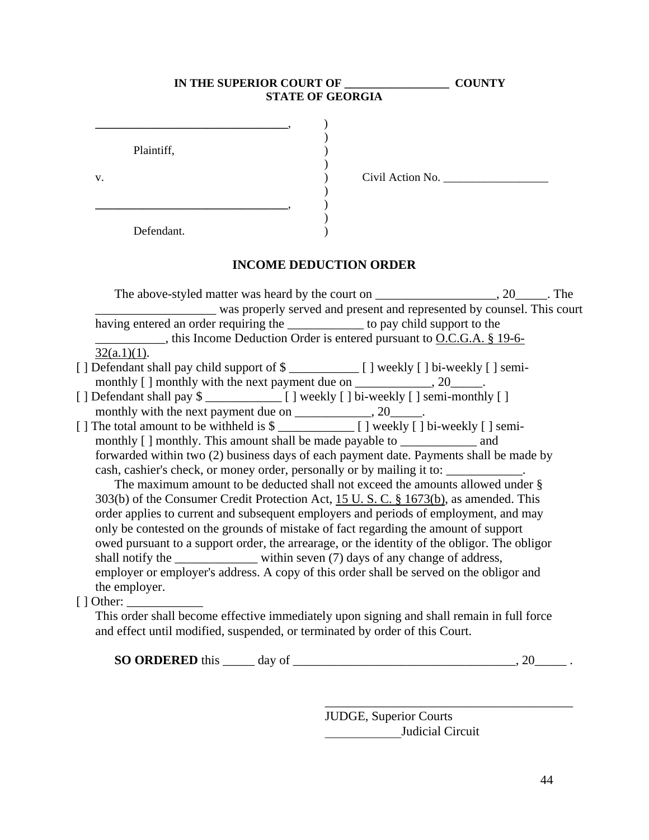|                                                                                                                                                                                                                                                                        | <b>STATE OF GEORGIA</b> |                  |  |
|------------------------------------------------------------------------------------------------------------------------------------------------------------------------------------------------------------------------------------------------------------------------|-------------------------|------------------|--|
| Plaintiff,                                                                                                                                                                                                                                                             |                         |                  |  |
| v.                                                                                                                                                                                                                                                                     |                         | Civil Action No. |  |
| Defendant.                                                                                                                                                                                                                                                             |                         |                  |  |
| <b>INCOME DEDUCTION ORDER</b>                                                                                                                                                                                                                                          |                         |                  |  |
| was properly served and present and represented by counsel. This court                                                                                                                                                                                                 |                         |                  |  |
| having entered an order requiring the _____________ to pay child support to the<br>$\ldots$ , this Income Deduction Order is entered pursuant to O.C.G.A. § 19-6-                                                                                                      |                         |                  |  |
| $32(a.1)(1)$ .                                                                                                                                                                                                                                                         |                         |                  |  |
|                                                                                                                                                                                                                                                                        |                         |                  |  |
|                                                                                                                                                                                                                                                                        |                         |                  |  |
| forwarded within two (2) business days of each payment date. Payments shall be made by<br>cash, cashier's check, or money order, personally or by mailing it to: ____________.<br>The maximum amount to be deducted shall not exceed the amounts allowed under §       |                         |                  |  |
| 303(b) of the Consumer Credit Protection Act, 15 U.S.C. § 1673(b), as amended. This<br>order applies to current and subsequent employers and periods of employment, and may                                                                                            |                         |                  |  |
| only be contested on the grounds of mistake of fact regarding the amount of support<br>owed pursuant to a support order, the arrearage, or the identity of the obligor. The obligor<br>shall notify the ______________ within seven (7) days of any change of address, |                         |                  |  |
| employer or employer's address. A copy of this order shall be served on the obligor and<br>the employer.                                                                                                                                                               |                         |                  |  |
|                                                                                                                                                                                                                                                                        |                         |                  |  |
| This order shall become effective immediately upon signing and shall remain in full force<br>and effect until modified, suspended, or terminated by order of this Court.                                                                                               |                         |                  |  |
|                                                                                                                                                                                                                                                                        |                         | 20               |  |

JUDGE, Superior Courts \_\_\_\_\_\_\_\_\_\_\_\_Judicial Circuit

\_\_\_\_\_\_\_\_\_\_\_\_\_\_\_\_\_\_\_\_\_\_\_\_\_\_\_\_\_\_\_\_\_\_\_\_\_\_\_